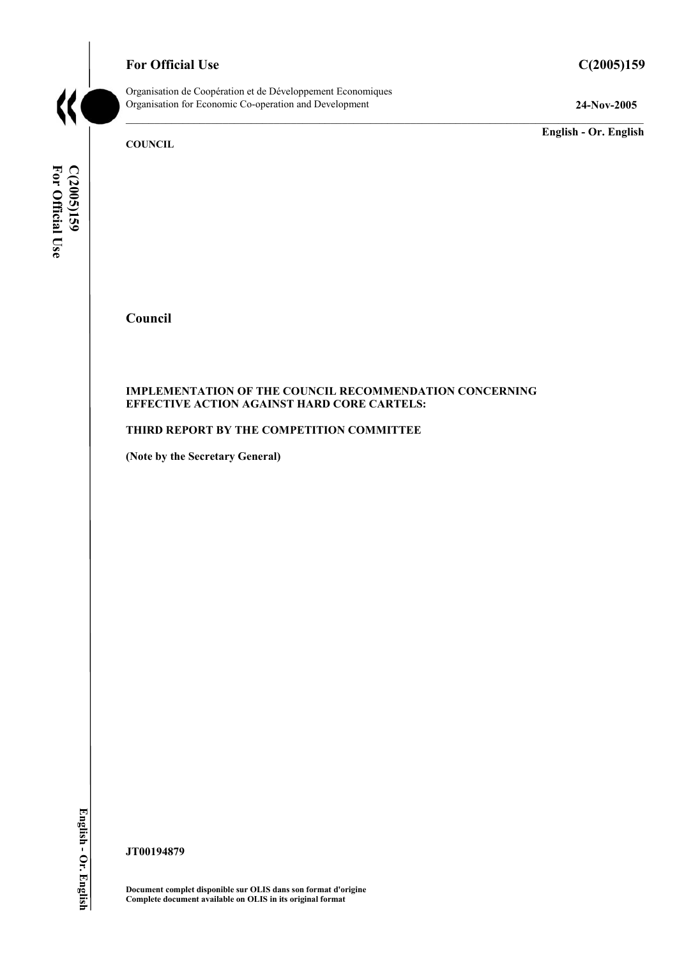# **For Official Use C(2005)159**

Organisation de Coopération et de Développement Economiques Organisation for Economic Co-operation and Development **24-Nov-2005** 

**English - Or. English** 

**COUNCIL** 

C(2005)159<br>For Official Use **For Official Use C(2005)159 English - Or. English** 

**Council** 

## **IMPLEMENTATION OF THE COUNCIL RECOMMENDATION CONCERNING EFFECTIVE ACTION AGAINST HARD CORE CARTELS:**

# **THIRD REPORT BY THE COMPETITION COMMITTEE**

**(Note by the Secretary General)** 

**JT00194879** 

**Document complet disponible sur OLIS dans son format d'origine Complete document available on OLIS in its original format**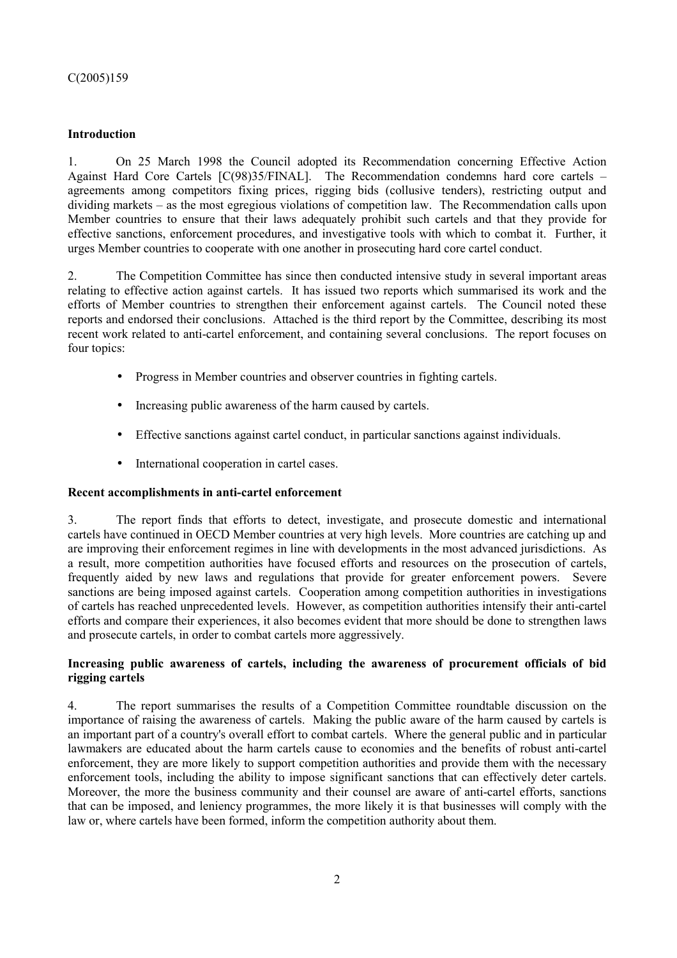# **Introduction**

1. On 25 March 1998 the Council adopted its Recommendation concerning Effective Action Against Hard Core Cartels [C(98)35/FINAL]. The Recommendation condemns hard core cartels – agreements among competitors fixing prices, rigging bids (collusive tenders), restricting output and dividing markets – as the most egregious violations of competition law. The Recommendation calls upon Member countries to ensure that their laws adequately prohibit such cartels and that they provide for effective sanctions, enforcement procedures, and investigative tools with which to combat it. Further, it urges Member countries to cooperate with one another in prosecuting hard core cartel conduct.

2. The Competition Committee has since then conducted intensive study in several important areas relating to effective action against cartels. It has issued two reports which summarised its work and the efforts of Member countries to strengthen their enforcement against cartels. The Council noted these reports and endorsed their conclusions. Attached is the third report by the Committee, describing its most recent work related to anti-cartel enforcement, and containing several conclusions. The report focuses on four topics:

- Progress in Member countries and observer countries in fighting cartels.
- Increasing public awareness of the harm caused by cartels.
- Effective sanctions against cartel conduct, in particular sanctions against individuals.
- International cooperation in cartel cases.

# **Recent accomplishments in anti-cartel enforcement**

3. The report finds that efforts to detect, investigate, and prosecute domestic and international cartels have continued in OECD Member countries at very high levels. More countries are catching up and are improving their enforcement regimes in line with developments in the most advanced jurisdictions. As a result, more competition authorities have focused efforts and resources on the prosecution of cartels, frequently aided by new laws and regulations that provide for greater enforcement powers. Severe sanctions are being imposed against cartels. Cooperation among competition authorities in investigations of cartels has reached unprecedented levels. However, as competition authorities intensify their anti-cartel efforts and compare their experiences, it also becomes evident that more should be done to strengthen laws and prosecute cartels, in order to combat cartels more aggressively.

# **Increasing public awareness of cartels, including the awareness of procurement officials of bid rigging cartels**

4. The report summarises the results of a Competition Committee roundtable discussion on the importance of raising the awareness of cartels. Making the public aware of the harm caused by cartels is an important part of a country's overall effort to combat cartels. Where the general public and in particular lawmakers are educated about the harm cartels cause to economies and the benefits of robust anti-cartel enforcement, they are more likely to support competition authorities and provide them with the necessary enforcement tools, including the ability to impose significant sanctions that can effectively deter cartels. Moreover, the more the business community and their counsel are aware of anti-cartel efforts, sanctions that can be imposed, and leniency programmes, the more likely it is that businesses will comply with the law or, where cartels have been formed, inform the competition authority about them.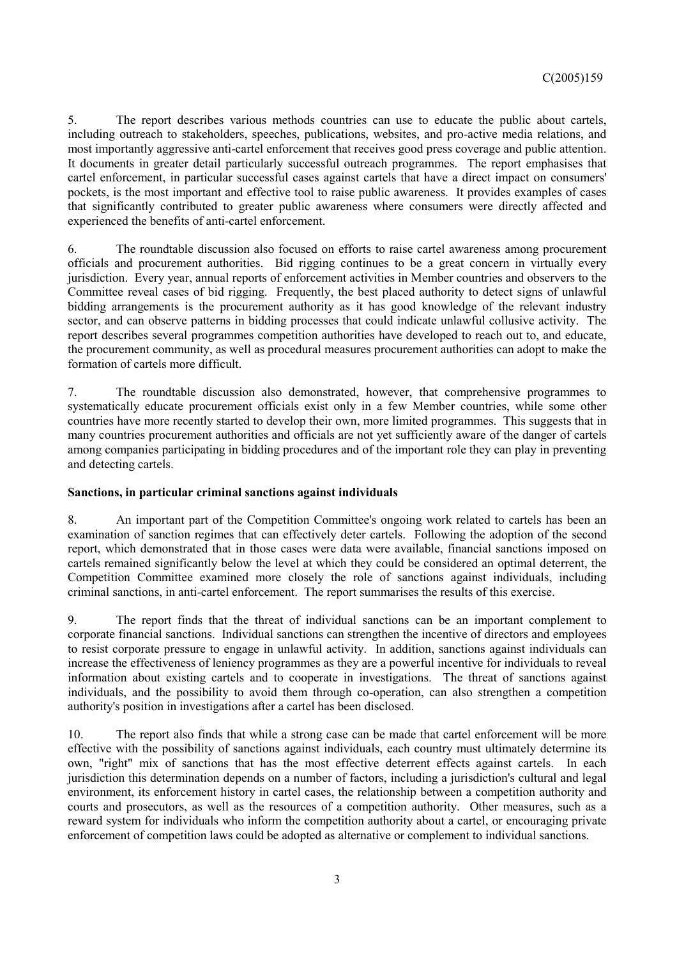5. The report describes various methods countries can use to educate the public about cartels, including outreach to stakeholders, speeches, publications, websites, and pro-active media relations, and most importantly aggressive anti-cartel enforcement that receives good press coverage and public attention. It documents in greater detail particularly successful outreach programmes. The report emphasises that cartel enforcement, in particular successful cases against cartels that have a direct impact on consumers' pockets, is the most important and effective tool to raise public awareness. It provides examples of cases that significantly contributed to greater public awareness where consumers were directly affected and experienced the benefits of anti-cartel enforcement.

6. The roundtable discussion also focused on efforts to raise cartel awareness among procurement officials and procurement authorities. Bid rigging continues to be a great concern in virtually every jurisdiction. Every year, annual reports of enforcement activities in Member countries and observers to the Committee reveal cases of bid rigging. Frequently, the best placed authority to detect signs of unlawful bidding arrangements is the procurement authority as it has good knowledge of the relevant industry sector, and can observe patterns in bidding processes that could indicate unlawful collusive activity. The report describes several programmes competition authorities have developed to reach out to, and educate, the procurement community, as well as procedural measures procurement authorities can adopt to make the formation of cartels more difficult.

7. The roundtable discussion also demonstrated, however, that comprehensive programmes to systematically educate procurement officials exist only in a few Member countries, while some other countries have more recently started to develop their own, more limited programmes. This suggests that in many countries procurement authorities and officials are not yet sufficiently aware of the danger of cartels among companies participating in bidding procedures and of the important role they can play in preventing and detecting cartels.

### **Sanctions, in particular criminal sanctions against individuals**

8. An important part of the Competition Committee's ongoing work related to cartels has been an examination of sanction regimes that can effectively deter cartels. Following the adoption of the second report, which demonstrated that in those cases were data were available, financial sanctions imposed on cartels remained significantly below the level at which they could be considered an optimal deterrent, the Competition Committee examined more closely the role of sanctions against individuals, including criminal sanctions, in anti-cartel enforcement. The report summarises the results of this exercise.

9. The report finds that the threat of individual sanctions can be an important complement to corporate financial sanctions. Individual sanctions can strengthen the incentive of directors and employees to resist corporate pressure to engage in unlawful activity. In addition, sanctions against individuals can increase the effectiveness of leniency programmes as they are a powerful incentive for individuals to reveal information about existing cartels and to cooperate in investigations. The threat of sanctions against individuals, and the possibility to avoid them through co-operation, can also strengthen a competition authority's position in investigations after a cartel has been disclosed.

10. The report also finds that while a strong case can be made that cartel enforcement will be more effective with the possibility of sanctions against individuals, each country must ultimately determine its own, "right" mix of sanctions that has the most effective deterrent effects against cartels. In each jurisdiction this determination depends on a number of factors, including a jurisdiction's cultural and legal environment, its enforcement history in cartel cases, the relationship between a competition authority and courts and prosecutors, as well as the resources of a competition authority. Other measures, such as a reward system for individuals who inform the competition authority about a cartel, or encouraging private enforcement of competition laws could be adopted as alternative or complement to individual sanctions.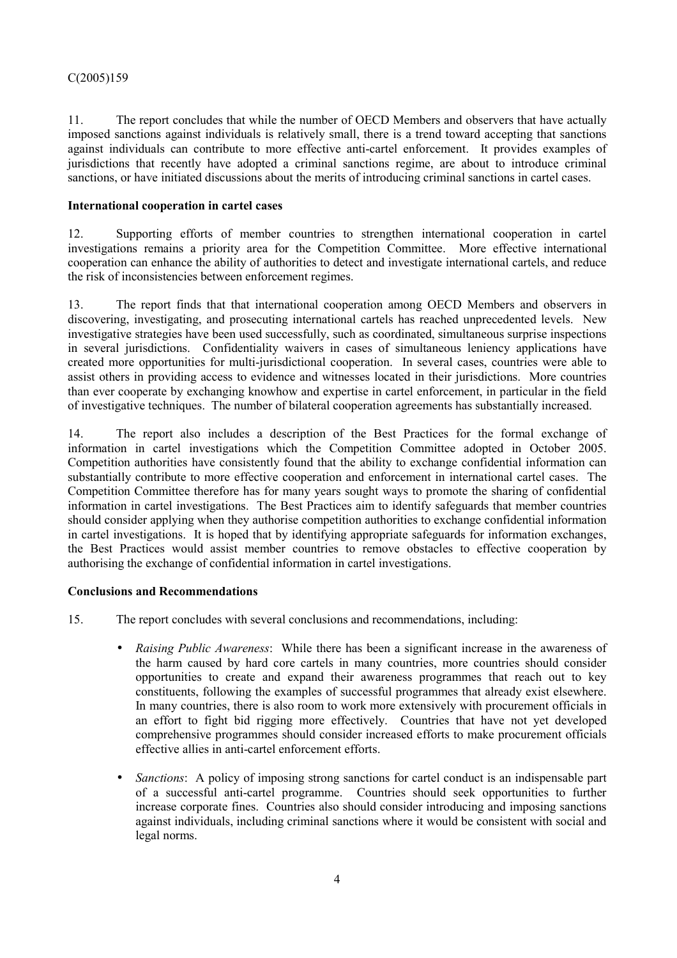11. The report concludes that while the number of OECD Members and observers that have actually imposed sanctions against individuals is relatively small, there is a trend toward accepting that sanctions against individuals can contribute to more effective anti-cartel enforcement. It provides examples of jurisdictions that recently have adopted a criminal sanctions regime, are about to introduce criminal sanctions, or have initiated discussions about the merits of introducing criminal sanctions in cartel cases.

# **International cooperation in cartel cases**

12. Supporting efforts of member countries to strengthen international cooperation in cartel investigations remains a priority area for the Competition Committee. More effective international cooperation can enhance the ability of authorities to detect and investigate international cartels, and reduce the risk of inconsistencies between enforcement regimes.

13. The report finds that that international cooperation among OECD Members and observers in discovering, investigating, and prosecuting international cartels has reached unprecedented levels. New investigative strategies have been used successfully, such as coordinated, simultaneous surprise inspections in several jurisdictions. Confidentiality waivers in cases of simultaneous leniency applications have created more opportunities for multi-jurisdictional cooperation. In several cases, countries were able to assist others in providing access to evidence and witnesses located in their jurisdictions. More countries than ever cooperate by exchanging knowhow and expertise in cartel enforcement, in particular in the field of investigative techniques. The number of bilateral cooperation agreements has substantially increased.

14. The report also includes a description of the Best Practices for the formal exchange of information in cartel investigations which the Competition Committee adopted in October 2005. Competition authorities have consistently found that the ability to exchange confidential information can substantially contribute to more effective cooperation and enforcement in international cartel cases. The Competition Committee therefore has for many years sought ways to promote the sharing of confidential information in cartel investigations. The Best Practices aim to identify safeguards that member countries should consider applying when they authorise competition authorities to exchange confidential information in cartel investigations. It is hoped that by identifying appropriate safeguards for information exchanges, the Best Practices would assist member countries to remove obstacles to effective cooperation by authorising the exchange of confidential information in cartel investigations.

# **Conclusions and Recommendations**

15. The report concludes with several conclusions and recommendations, including:

- *Raising Public Awareness*: While there has been a significant increase in the awareness of the harm caused by hard core cartels in many countries, more countries should consider opportunities to create and expand their awareness programmes that reach out to key constituents, following the examples of successful programmes that already exist elsewhere. In many countries, there is also room to work more extensively with procurement officials in an effort to fight bid rigging more effectively. Countries that have not yet developed comprehensive programmes should consider increased efforts to make procurement officials effective allies in anti-cartel enforcement efforts.
- *Sanctions*: A policy of imposing strong sanctions for cartel conduct is an indispensable part of a successful anti-cartel programme. Countries should seek opportunities to further increase corporate fines. Countries also should consider introducing and imposing sanctions against individuals, including criminal sanctions where it would be consistent with social and legal norms.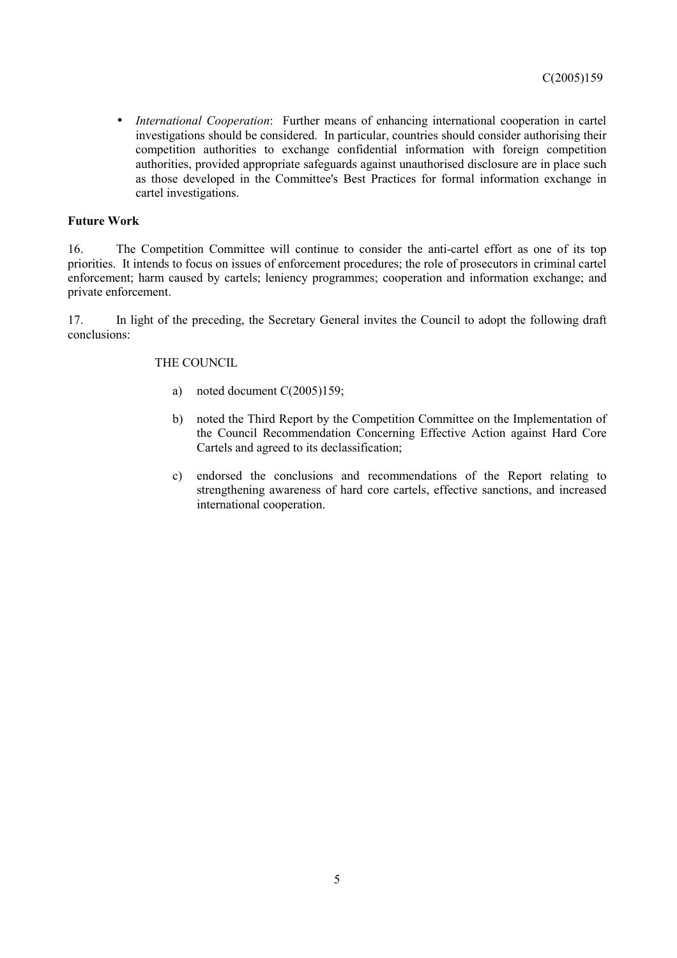*International Cooperation*: Further means of enhancing international cooperation in cartel investigations should be considered. In particular, countries should consider authorising their competition authorities to exchange confidential information with foreign competition authorities, provided appropriate safeguards against unauthorised disclosure are in place such as those developed in the Committee's Best Practices for formal information exchange in cartel investigations.

## **Future Work**

16. The Competition Committee will continue to consider the anti-cartel effort as one of its top priorities. It intends to focus on issues of enforcement procedures; the role of prosecutors in criminal cartel enforcement; harm caused by cartels; leniency programmes; cooperation and information exchange; and private enforcement.

17. In light of the preceding, the Secretary General invites the Council to adopt the following draft conclusions:

### THE COUNCIL

- a) noted document C(2005)159;
- b) noted the Third Report by the Competition Committee on the Implementation of the Council Recommendation Concerning Effective Action against Hard Core Cartels and agreed to its declassification;
- c) endorsed the conclusions and recommendations of the Report relating to strengthening awareness of hard core cartels, effective sanctions, and increased international cooperation.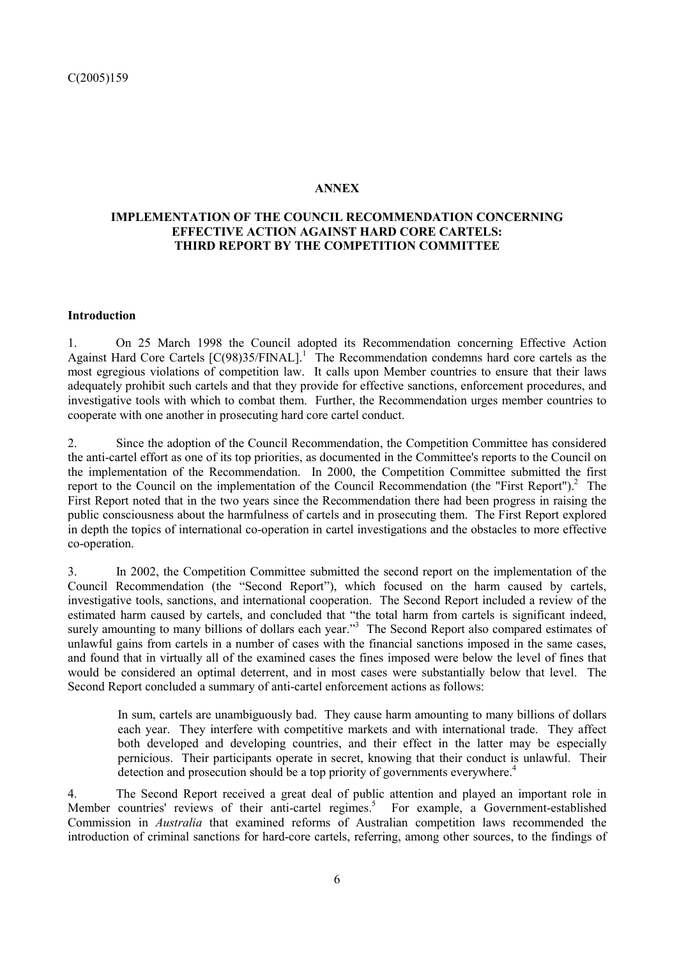## **ANNEX**

# **IMPLEMENTATION OF THE COUNCIL RECOMMENDATION CONCERNING EFFECTIVE ACTION AGAINST HARD CORE CARTELS: THIRD REPORT BY THE COMPETITION COMMITTEE**

## **Introduction**

1. On 25 March 1998 the Council adopted its Recommendation concerning Effective Action Against Hard Core Cartels  $[C(98)35/FINAL]$ <sup>1</sup>. The Recommendation condemns hard core cartels as the most egregious violations of competition law. It calls upon Member countries to ensure that their laws adequately prohibit such cartels and that they provide for effective sanctions, enforcement procedures, and investigative tools with which to combat them. Further, the Recommendation urges member countries to cooperate with one another in prosecuting hard core cartel conduct.

2. Since the adoption of the Council Recommendation, the Competition Committee has considered the anti-cartel effort as one of its top priorities, as documented in the Committee's reports to the Council on the implementation of the Recommendation. In 2000, the Competition Committee submitted the first report to the Council on the implementation of the Council Recommendation (the "First Report"). $^2$  The First Report noted that in the two years since the Recommendation there had been progress in raising the public consciousness about the harmfulness of cartels and in prosecuting them. The First Report explored in depth the topics of international co-operation in cartel investigations and the obstacles to more effective co-operation.

3. In 2002, the Competition Committee submitted the second report on the implementation of the Council Recommendation (the "Second Report"), which focused on the harm caused by cartels, investigative tools, sanctions, and international cooperation. The Second Report included a review of the estimated harm caused by cartels, and concluded that "the total harm from cartels is significant indeed, surely amounting to many billions of dollars each year."<sup>3</sup> The Second Report also compared estimates of unlawful gains from cartels in a number of cases with the financial sanctions imposed in the same cases, and found that in virtually all of the examined cases the fines imposed were below the level of fines that would be considered an optimal deterrent, and in most cases were substantially below that level. The Second Report concluded a summary of anti-cartel enforcement actions as follows:

In sum, cartels are unambiguously bad. They cause harm amounting to many billions of dollars each year. They interfere with competitive markets and with international trade. They affect both developed and developing countries, and their effect in the latter may be especially pernicious. Their participants operate in secret, knowing that their conduct is unlawful. Their detection and prosecution should be a top priority of governments everywhere.<sup>4</sup>

4. The Second Report received a great deal of public attention and played an important role in Member countries' reviews of their anti-cartel regimes.<sup>5</sup> For example, a Government-established Commission in *Australia* that examined reforms of Australian competition laws recommended the introduction of criminal sanctions for hard-core cartels, referring, among other sources, to the findings of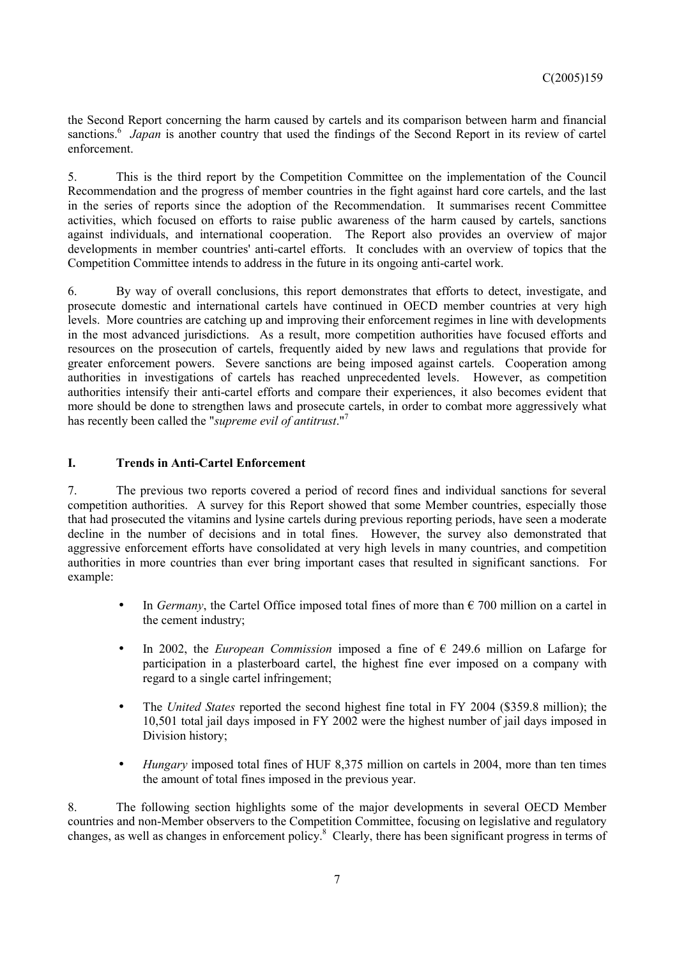the Second Report concerning the harm caused by cartels and its comparison between harm and financial sanctions.<sup>6</sup> Japan is another country that used the findings of the Second Report in its review of cartel enforcement.

5. This is the third report by the Competition Committee on the implementation of the Council Recommendation and the progress of member countries in the fight against hard core cartels, and the last in the series of reports since the adoption of the Recommendation. It summarises recent Committee activities, which focused on efforts to raise public awareness of the harm caused by cartels, sanctions against individuals, and international cooperation. The Report also provides an overview of major developments in member countries' anti-cartel efforts. It concludes with an overview of topics that the Competition Committee intends to address in the future in its ongoing anti-cartel work.

6. By way of overall conclusions, this report demonstrates that efforts to detect, investigate, and prosecute domestic and international cartels have continued in OECD member countries at very high levels. More countries are catching up and improving their enforcement regimes in line with developments in the most advanced jurisdictions. As a result, more competition authorities have focused efforts and resources on the prosecution of cartels, frequently aided by new laws and regulations that provide for greater enforcement powers. Severe sanctions are being imposed against cartels. Cooperation among authorities in investigations of cartels has reached unprecedented levels. However, as competition authorities intensify their anti-cartel efforts and compare their experiences, it also becomes evident that more should be done to strengthen laws and prosecute cartels, in order to combat more aggressively what has recently been called the "*supreme evil of antitrust*."7

# **I. Trends in Anti-Cartel Enforcement**

7. The previous two reports covered a period of record fines and individual sanctions for several competition authorities. A survey for this Report showed that some Member countries, especially those that had prosecuted the vitamins and lysine cartels during previous reporting periods, have seen a moderate decline in the number of decisions and in total fines. However, the survey also demonstrated that aggressive enforcement efforts have consolidated at very high levels in many countries, and competition authorities in more countries than ever bring important cases that resulted in significant sanctions. For example:

- In *Germany*, the Cartel Office imposed total fines of more than  $\epsilon$  700 million on a cartel in the cement industry;
- In 2002, the *European Commission* imposed a fine of  $\epsilon$  249.6 million on Lafarge for participation in a plasterboard cartel, the highest fine ever imposed on a company with regard to a single cartel infringement;
- The *United States* reported the second highest fine total in FY 2004 (\$359.8 million); the 10,501 total jail days imposed in FY 2002 were the highest number of jail days imposed in Division history;
- • *Hungary* imposed total fines of HUF 8,375 million on cartels in 2004, more than ten times the amount of total fines imposed in the previous year.

8. The following section highlights some of the major developments in several OECD Member countries and non-Member observers to the Competition Committee, focusing on legislative and regulatory changes, as well as changes in enforcement policy.<sup>8</sup> Clearly, there has been significant progress in terms of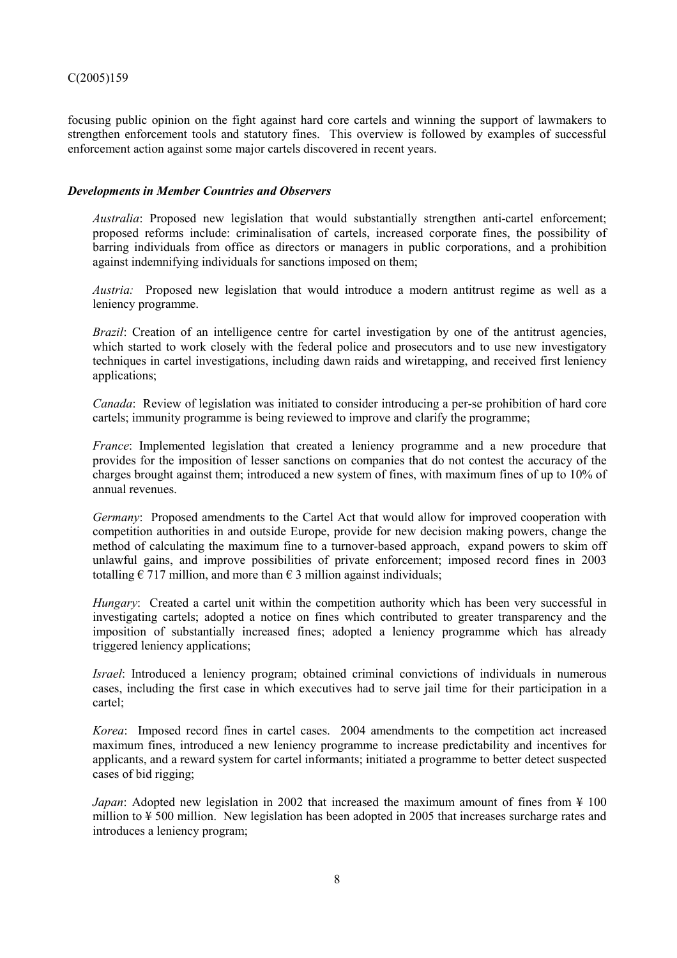focusing public opinion on the fight against hard core cartels and winning the support of lawmakers to strengthen enforcement tools and statutory fines. This overview is followed by examples of successful enforcement action against some major cartels discovered in recent years.

# *Developments in Member Countries and Observers*

*Australia*: Proposed new legislation that would substantially strengthen anti-cartel enforcement; proposed reforms include: criminalisation of cartels, increased corporate fines, the possibility of barring individuals from office as directors or managers in public corporations, and a prohibition against indemnifying individuals for sanctions imposed on them;

*Austria:* Proposed new legislation that would introduce a modern antitrust regime as well as a leniency programme.

*Brazil:* Creation of an intelligence centre for cartel investigation by one of the antitrust agencies, which started to work closely with the federal police and prosecutors and to use new investigatory techniques in cartel investigations, including dawn raids and wiretapping, and received first leniency applications;

*Canada*: Review of legislation was initiated to consider introducing a per-se prohibition of hard core cartels; immunity programme is being reviewed to improve and clarify the programme;

*France*: Implemented legislation that created a leniency programme and a new procedure that provides for the imposition of lesser sanctions on companies that do not contest the accuracy of the charges brought against them; introduced a new system of fines, with maximum fines of up to 10% of annual revenues.

*Germany*: Proposed amendments to the Cartel Act that would allow for improved cooperation with competition authorities in and outside Europe, provide for new decision making powers, change the method of calculating the maximum fine to a turnover-based approach, expand powers to skim off unlawful gains, and improve possibilities of private enforcement; imposed record fines in 2003 totalling  $\epsilon$  717 million, and more than  $\epsilon$  3 million against individuals;

*Hungary*: Created a cartel unit within the competition authority which has been very successful in investigating cartels; adopted a notice on fines which contributed to greater transparency and the imposition of substantially increased fines; adopted a leniency programme which has already triggered leniency applications;

*Israel*: Introduced a leniency program; obtained criminal convictions of individuals in numerous cases, including the first case in which executives had to serve jail time for their participation in a cartel;

*Korea*: Imposed record fines in cartel cases. 2004 amendments to the competition act increased maximum fines, introduced a new leniency programme to increase predictability and incentives for applicants, and a reward system for cartel informants; initiated a programme to better detect suspected cases of bid rigging;

*Japan*: Adopted new legislation in 2002 that increased the maximum amount of fines from ¥ 100 million to ¥ 500 million. New legislation has been adopted in 2005 that increases surcharge rates and introduces a leniency program;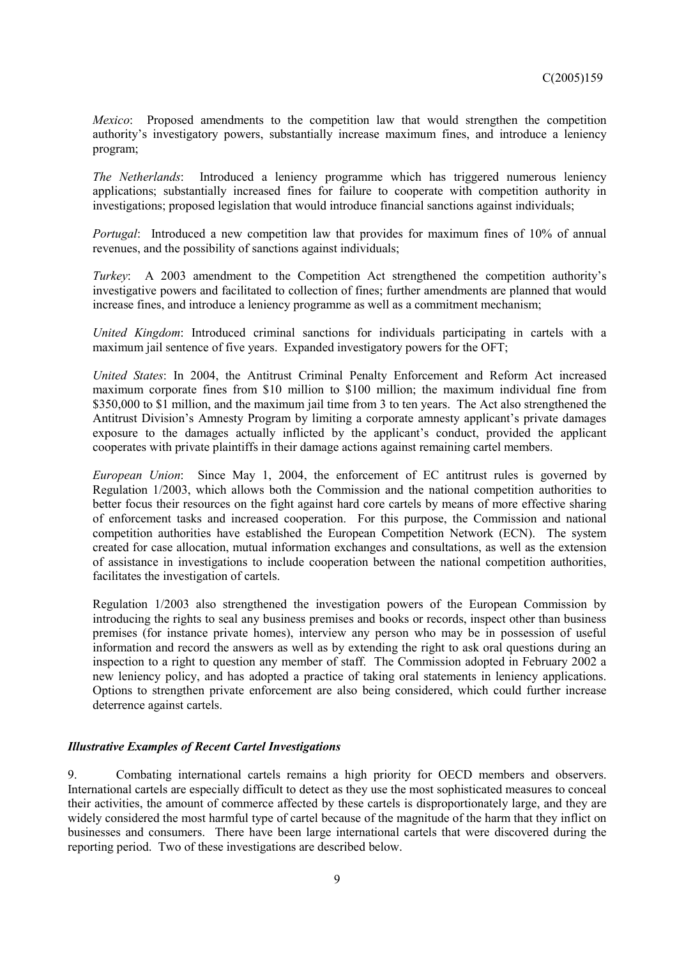*Mexico*: Proposed amendments to the competition law that would strengthen the competition authority's investigatory powers, substantially increase maximum fines, and introduce a leniency program;

*The Netherlands*: Introduced a leniency programme which has triggered numerous leniency applications; substantially increased fines for failure to cooperate with competition authority in investigations; proposed legislation that would introduce financial sanctions against individuals;

*Portugal*: Introduced a new competition law that provides for maximum fines of 10% of annual revenues, and the possibility of sanctions against individuals;

*Turkey*: A 2003 amendment to the Competition Act strengthened the competition authority's investigative powers and facilitated to collection of fines; further amendments are planned that would increase fines, and introduce a leniency programme as well as a commitment mechanism;

*United Kingdom*: Introduced criminal sanctions for individuals participating in cartels with a maximum jail sentence of five years. Expanded investigatory powers for the OFT;

*United States*: In 2004, the Antitrust Criminal Penalty Enforcement and Reform Act increased maximum corporate fines from \$10 million to \$100 million; the maximum individual fine from \$350,000 to \$1 million, and the maximum jail time from 3 to ten years. The Act also strengthened the Antitrust Division's Amnesty Program by limiting a corporate amnesty applicant's private damages exposure to the damages actually inflicted by the applicant's conduct, provided the applicant cooperates with private plaintiffs in their damage actions against remaining cartel members.

*European Union*: Since May 1, 2004, the enforcement of EC antitrust rules is governed by Regulation 1/2003, which allows both the Commission and the national competition authorities to better focus their resources on the fight against hard core cartels by means of more effective sharing of enforcement tasks and increased cooperation. For this purpose, the Commission and national competition authorities have established the European Competition Network (ECN). The system created for case allocation, mutual information exchanges and consultations, as well as the extension of assistance in investigations to include cooperation between the national competition authorities, facilitates the investigation of cartels.

Regulation 1/2003 also strengthened the investigation powers of the European Commission by introducing the rights to seal any business premises and books or records, inspect other than business premises (for instance private homes), interview any person who may be in possession of useful information and record the answers as well as by extending the right to ask oral questions during an inspection to a right to question any member of staff. The Commission adopted in February 2002 a new leniency policy, and has adopted a practice of taking oral statements in leniency applications. Options to strengthen private enforcement are also being considered, which could further increase deterrence against cartels.

### *Illustrative Examples of Recent Cartel Investigations*

9. Combating international cartels remains a high priority for OECD members and observers. International cartels are especially difficult to detect as they use the most sophisticated measures to conceal their activities, the amount of commerce affected by these cartels is disproportionately large, and they are widely considered the most harmful type of cartel because of the magnitude of the harm that they inflict on businesses and consumers. There have been large international cartels that were discovered during the reporting period. Two of these investigations are described below.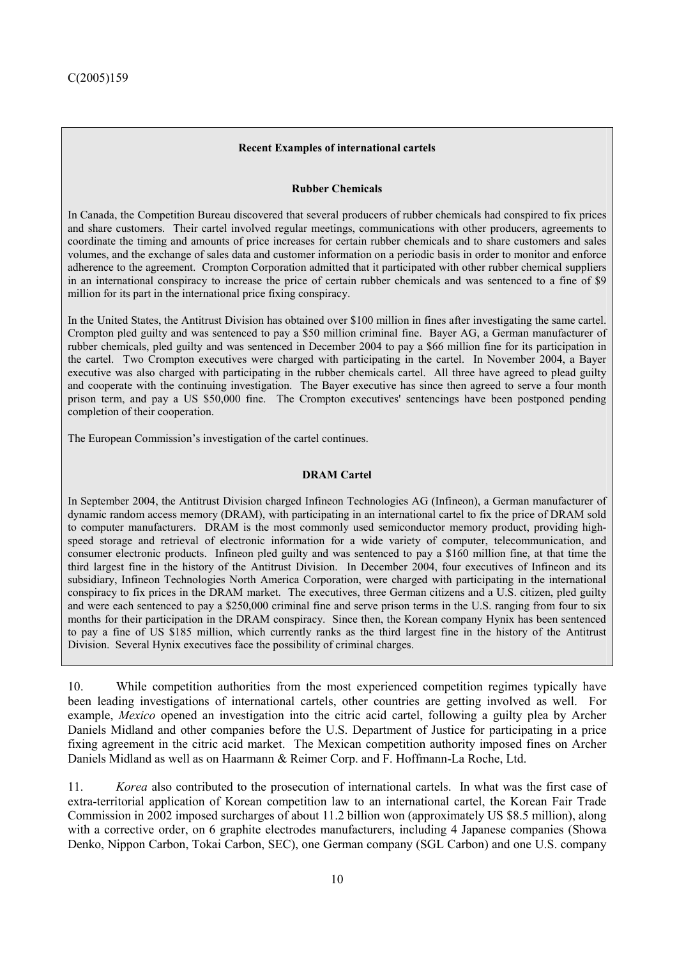## **Recent Examples of international cartels**

### **Rubber Chemicals**

In Canada, the Competition Bureau discovered that several producers of rubber chemicals had conspired to fix prices and share customers. Their cartel involved regular meetings, communications with other producers, agreements to coordinate the timing and amounts of price increases for certain rubber chemicals and to share customers and sales volumes, and the exchange of sales data and customer information on a periodic basis in order to monitor and enforce adherence to the agreement. Crompton Corporation admitted that it participated with other rubber chemical suppliers in an international conspiracy to increase the price of certain rubber chemicals and was sentenced to a fine of \$9 million for its part in the international price fixing conspiracy.

In the United States, the Antitrust Division has obtained over \$100 million in fines after investigating the same cartel. Crompton pled guilty and was sentenced to pay a \$50 million criminal fine. Bayer AG, a German manufacturer of rubber chemicals, pled guilty and was sentenced in December 2004 to pay a \$66 million fine for its participation in the cartel. Two Crompton executives were charged with participating in the cartel. In November 2004, a Bayer executive was also charged with participating in the rubber chemicals cartel. All three have agreed to plead guilty and cooperate with the continuing investigation. The Bayer executive has since then agreed to serve a four month prison term, and pay a US \$50,000 fine. The Crompton executives' sentencings have been postponed pending completion of their cooperation.

The European Commission's investigation of the cartel continues.

## **DRAM Cartel**

In September 2004, the Antitrust Division charged Infineon Technologies AG (Infineon), a German manufacturer of dynamic random access memory (DRAM), with participating in an international cartel to fix the price of DRAM sold to computer manufacturers. DRAM is the most commonly used semiconductor memory product, providing highspeed storage and retrieval of electronic information for a wide variety of computer, telecommunication, and consumer electronic products. Infineon pled guilty and was sentenced to pay a \$160 million fine, at that time the third largest fine in the history of the Antitrust Division. In December 2004, four executives of Infineon and its subsidiary, Infineon Technologies North America Corporation, were charged with participating in the international conspiracy to fix prices in the DRAM market. The executives, three German citizens and a U.S. citizen, pled guilty and were each sentenced to pay a \$250,000 criminal fine and serve prison terms in the U.S. ranging from four to six months for their participation in the DRAM conspiracy. Since then, the Korean company Hynix has been sentenced to pay a fine of US \$185 million, which currently ranks as the third largest fine in the history of the Antitrust Division. Several Hynix executives face the possibility of criminal charges.

10. While competition authorities from the most experienced competition regimes typically have been leading investigations of international cartels, other countries are getting involved as well. For example, *Mexico* opened an investigation into the citric acid cartel, following a guilty plea by Archer Daniels Midland and other companies before the U.S. Department of Justice for participating in a price fixing agreement in the citric acid market. The Mexican competition authority imposed fines on Archer Daniels Midland as well as on Haarmann & Reimer Corp. and F. Hoffmann-La Roche, Ltd.

11. *Korea* also contributed to the prosecution of international cartels. In what was the first case of extra-territorial application of Korean competition law to an international cartel, the Korean Fair Trade Commission in 2002 imposed surcharges of about 11.2 billion won (approximately US \$8.5 million), along with a corrective order, on 6 graphite electrodes manufacturers, including 4 Japanese companies (Showa Denko, Nippon Carbon, Tokai Carbon, SEC), one German company (SGL Carbon) and one U.S. company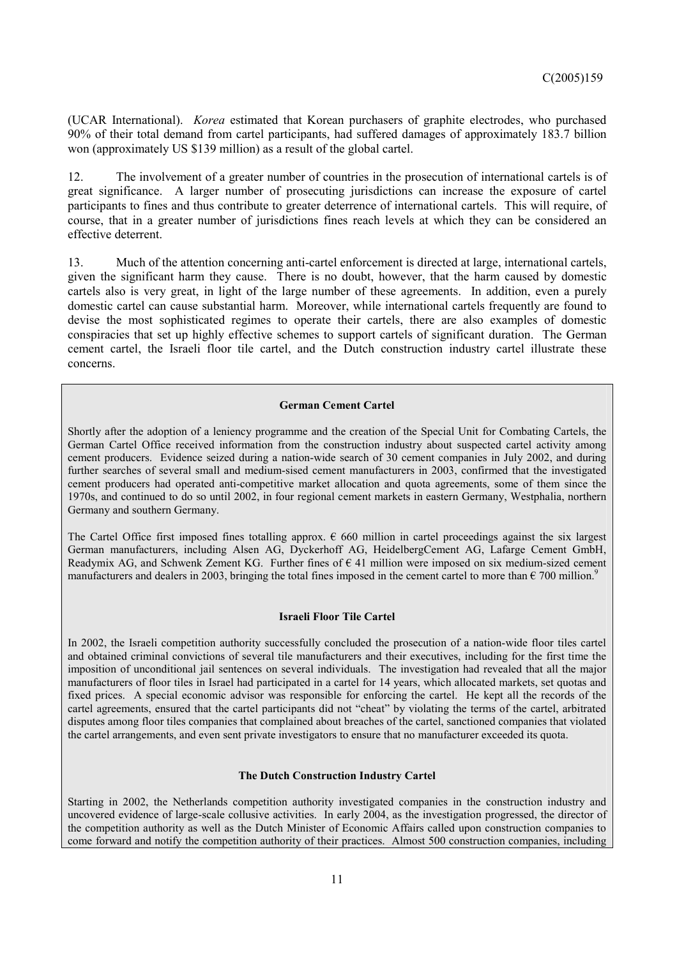(UCAR International). *Korea* estimated that Korean purchasers of graphite electrodes, who purchased 90% of their total demand from cartel participants, had suffered damages of approximately 183.7 billion won (approximately US \$139 million) as a result of the global cartel.

12. The involvement of a greater number of countries in the prosecution of international cartels is of great significance. A larger number of prosecuting jurisdictions can increase the exposure of cartel participants to fines and thus contribute to greater deterrence of international cartels. This will require, of course, that in a greater number of jurisdictions fines reach levels at which they can be considered an effective deterrent.

13. Much of the attention concerning anti-cartel enforcement is directed at large, international cartels, given the significant harm they cause. There is no doubt, however, that the harm caused by domestic cartels also is very great, in light of the large number of these agreements. In addition, even a purely domestic cartel can cause substantial harm. Moreover, while international cartels frequently are found to devise the most sophisticated regimes to operate their cartels, there are also examples of domestic conspiracies that set up highly effective schemes to support cartels of significant duration. The German cement cartel, the Israeli floor tile cartel, and the Dutch construction industry cartel illustrate these concerns.

#### **German Cement Cartel**

Shortly after the adoption of a leniency programme and the creation of the Special Unit for Combating Cartels, the German Cartel Office received information from the construction industry about suspected cartel activity among cement producers. Evidence seized during a nation-wide search of 30 cement companies in July 2002, and during further searches of several small and medium-sised cement manufacturers in 2003, confirmed that the investigated cement producers had operated anti-competitive market allocation and quota agreements, some of them since the 1970s, and continued to do so until 2002, in four regional cement markets in eastern Germany, Westphalia, northern Germany and southern Germany.

The Cartel Office first imposed fines totalling approx.  $\epsilon$  660 million in cartel proceedings against the six largest German manufacturers, including Alsen AG, Dyckerhoff AG, HeidelbergCement AG, Lafarge Cement GmbH, Readymix AG, and Schwenk Zement KG. Further fines of  $\epsilon$  41 million were imposed on six medium-sized cement manufacturers and dealers in 2003, bringing the total fines imposed in the cement cartel to more than  $\epsilon$  700 million.<sup>9</sup>

#### **Israeli Floor Tile Cartel**

In 2002, the Israeli competition authority successfully concluded the prosecution of a nation-wide floor tiles cartel and obtained criminal convictions of several tile manufacturers and their executives, including for the first time the imposition of unconditional jail sentences on several individuals. The investigation had revealed that all the major manufacturers of floor tiles in Israel had participated in a cartel for 14 years, which allocated markets, set quotas and fixed prices. A special economic advisor was responsible for enforcing the cartel. He kept all the records of the cartel agreements, ensured that the cartel participants did not "cheat" by violating the terms of the cartel, arbitrated disputes among floor tiles companies that complained about breaches of the cartel, sanctioned companies that violated the cartel arrangements, and even sent private investigators to ensure that no manufacturer exceeded its quota.

#### **The Dutch Construction Industry Cartel**

Starting in 2002, the Netherlands competition authority investigated companies in the construction industry and uncovered evidence of large-scale collusive activities. In early 2004, as the investigation progressed, the director of the competition authority as well as the Dutch Minister of Economic Affairs called upon construction companies to come forward and notify the competition authority of their practices. Almost 500 construction companies, including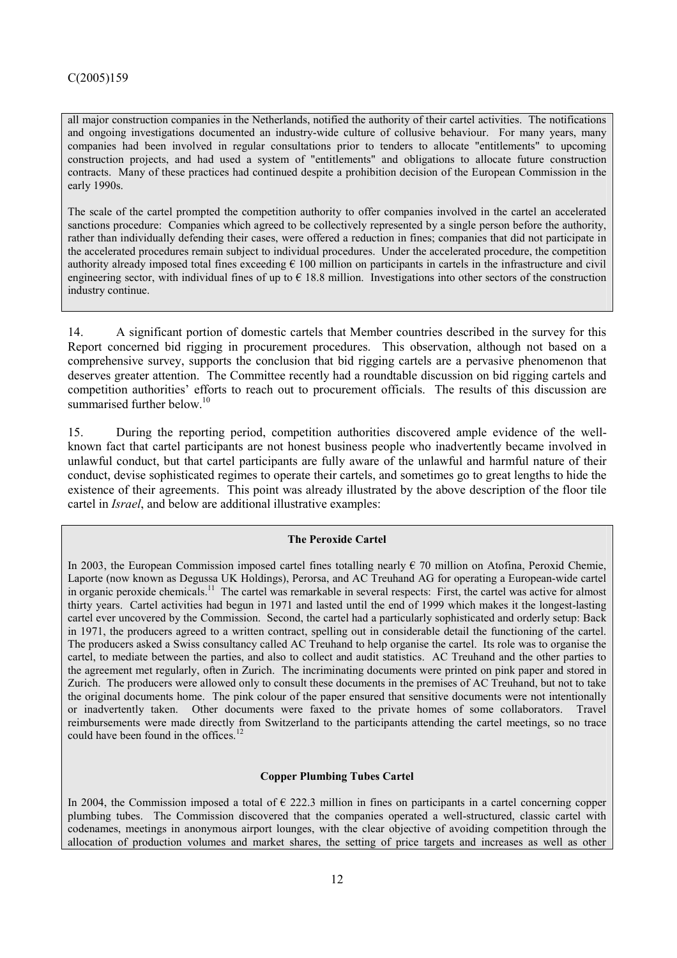all major construction companies in the Netherlands, notified the authority of their cartel activities. The notifications and ongoing investigations documented an industry-wide culture of collusive behaviour. For many years, many companies had been involved in regular consultations prior to tenders to allocate "entitlements" to upcoming construction projects, and had used a system of "entitlements" and obligations to allocate future construction contracts. Many of these practices had continued despite a prohibition decision of the European Commission in the early 1990s.

The scale of the cartel prompted the competition authority to offer companies involved in the cartel an accelerated sanctions procedure: Companies which agreed to be collectively represented by a single person before the authority, rather than individually defending their cases, were offered a reduction in fines; companies that did not participate in the accelerated procedures remain subject to individual procedures. Under the accelerated procedure, the competition authority already imposed total fines exceeding  $\epsilon$  100 million on participants in cartels in the infrastructure and civil engineering sector, with individual fines of up to  $\epsilon$  18.8 million. Investigations into other sectors of the construction industry continue.

14. A significant portion of domestic cartels that Member countries described in the survey for this Report concerned bid rigging in procurement procedures. This observation, although not based on a comprehensive survey, supports the conclusion that bid rigging cartels are a pervasive phenomenon that deserves greater attention. The Committee recently had a roundtable discussion on bid rigging cartels and competition authorities' efforts to reach out to procurement officials. The results of this discussion are summarised further below.<sup>10</sup>

15. During the reporting period, competition authorities discovered ample evidence of the wellknown fact that cartel participants are not honest business people who inadvertently became involved in unlawful conduct, but that cartel participants are fully aware of the unlawful and harmful nature of their conduct, devise sophisticated regimes to operate their cartels, and sometimes go to great lengths to hide the existence of their agreements. This point was already illustrated by the above description of the floor tile cartel in *Israel*, and below are additional illustrative examples:

#### **The Peroxide Cartel**

In 2003, the European Commission imposed cartel fines totalling nearly  $\epsilon$  70 million on Atofina, Peroxid Chemie, Laporte (now known as Degussa UK Holdings), Perorsa, and AC Treuhand AG for operating a European-wide cartel in organic peroxide chemicals.<sup>11</sup> The cartel was remarkable in several respects: First, the cartel was active for almost thirty years. Cartel activities had begun in 1971 and lasted until the end of 1999 which makes it the longest-lasting cartel ever uncovered by the Commission. Second, the cartel had a particularly sophisticated and orderly setup: Back in 1971, the producers agreed to a written contract, spelling out in considerable detail the functioning of the cartel. The producers asked a Swiss consultancy called AC Treuhand to help organise the cartel. Its role was to organise the cartel, to mediate between the parties, and also to collect and audit statistics. AC Treuhand and the other parties to the agreement met regularly, often in Zurich. The incriminating documents were printed on pink paper and stored in Zurich. The producers were allowed only to consult these documents in the premises of AC Treuhand, but not to take the original documents home. The pink colour of the paper ensured that sensitive documents were not intentionally or inadvertently taken. Other documents were faxed to the private homes of some collaborators. Travel reimbursements were made directly from Switzerland to the participants attending the cartel meetings, so no trace could have been found in the offices.<sup>12</sup>

### **Copper Plumbing Tubes Cartel**

In 2004, the Commission imposed a total of  $\epsilon$  222.3 million in fines on participants in a cartel concerning copper plumbing tubes. The Commission discovered that the companies operated a well-structured, classic cartel with codenames, meetings in anonymous airport lounges, with the clear objective of avoiding competition through the allocation of production volumes and market shares, the setting of price targets and increases as well as other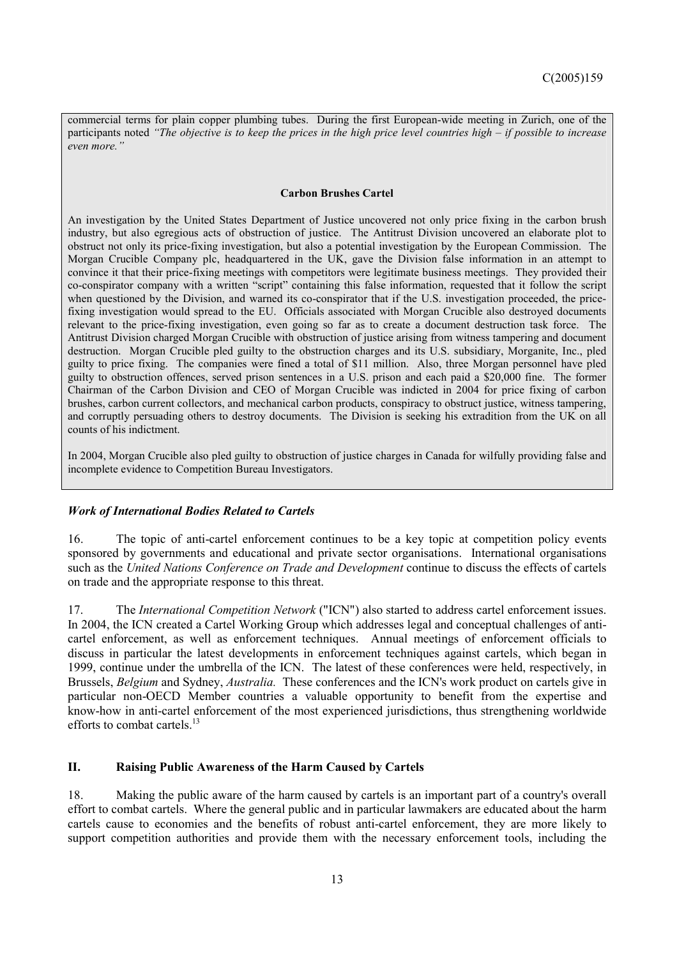commercial terms for plain copper plumbing tubes. During the first European-wide meeting in Zurich, one of the participants noted *"The objective is to keep the prices in the high price level countries high – if possible to increase even more."*

#### **Carbon Brushes Cartel**

An investigation by the United States Department of Justice uncovered not only price fixing in the carbon brush industry, but also egregious acts of obstruction of justice. The Antitrust Division uncovered an elaborate plot to obstruct not only its price-fixing investigation, but also a potential investigation by the European Commission. The Morgan Crucible Company plc, headquartered in the UK, gave the Division false information in an attempt to convince it that their price-fixing meetings with competitors were legitimate business meetings. They provided their co-conspirator company with a written "script" containing this false information, requested that it follow the script when questioned by the Division, and warned its co-conspirator that if the U.S. investigation proceeded, the pricefixing investigation would spread to the EU. Officials associated with Morgan Crucible also destroyed documents relevant to the price-fixing investigation, even going so far as to create a document destruction task force. The Antitrust Division charged Morgan Crucible with obstruction of justice arising from witness tampering and document destruction. Morgan Crucible pled guilty to the obstruction charges and its U.S. subsidiary, Morganite, Inc., pled guilty to price fixing. The companies were fined a total of \$11 million. Also, three Morgan personnel have pled guilty to obstruction offences, served prison sentences in a U.S. prison and each paid a \$20,000 fine. The former Chairman of the Carbon Division and CEO of Morgan Crucible was indicted in 2004 for price fixing of carbon brushes, carbon current collectors, and mechanical carbon products, conspiracy to obstruct justice, witness tampering, and corruptly persuading others to destroy documents. The Division is seeking his extradition from the UK on all counts of his indictment.

In 2004, Morgan Crucible also pled guilty to obstruction of justice charges in Canada for wilfully providing false and incomplete evidence to Competition Bureau Investigators.

#### *Work of International Bodies Related to Cartels*

16. The topic of anti-cartel enforcement continues to be a key topic at competition policy events sponsored by governments and educational and private sector organisations. International organisations such as the *United Nations Conference on Trade and Development* continue to discuss the effects of cartels on trade and the appropriate response to this threat.

17. The *International Competition Network* ("ICN") also started to address cartel enforcement issues. In 2004, the ICN created a Cartel Working Group which addresses legal and conceptual challenges of anticartel enforcement, as well as enforcement techniques. Annual meetings of enforcement officials to discuss in particular the latest developments in enforcement techniques against cartels, which began in 1999, continue under the umbrella of the ICN. The latest of these conferences were held, respectively, in Brussels, *Belgium* and Sydney, *Australia.* These conferences and the ICN's work product on cartels give in particular non-OECD Member countries a valuable opportunity to benefit from the expertise and know-how in anti-cartel enforcement of the most experienced jurisdictions, thus strengthening worldwide efforts to combat cartels. $^{13}$ 

## **II. Raising Public Awareness of the Harm Caused by Cartels**

18. Making the public aware of the harm caused by cartels is an important part of a country's overall effort to combat cartels. Where the general public and in particular lawmakers are educated about the harm cartels cause to economies and the benefits of robust anti-cartel enforcement, they are more likely to support competition authorities and provide them with the necessary enforcement tools, including the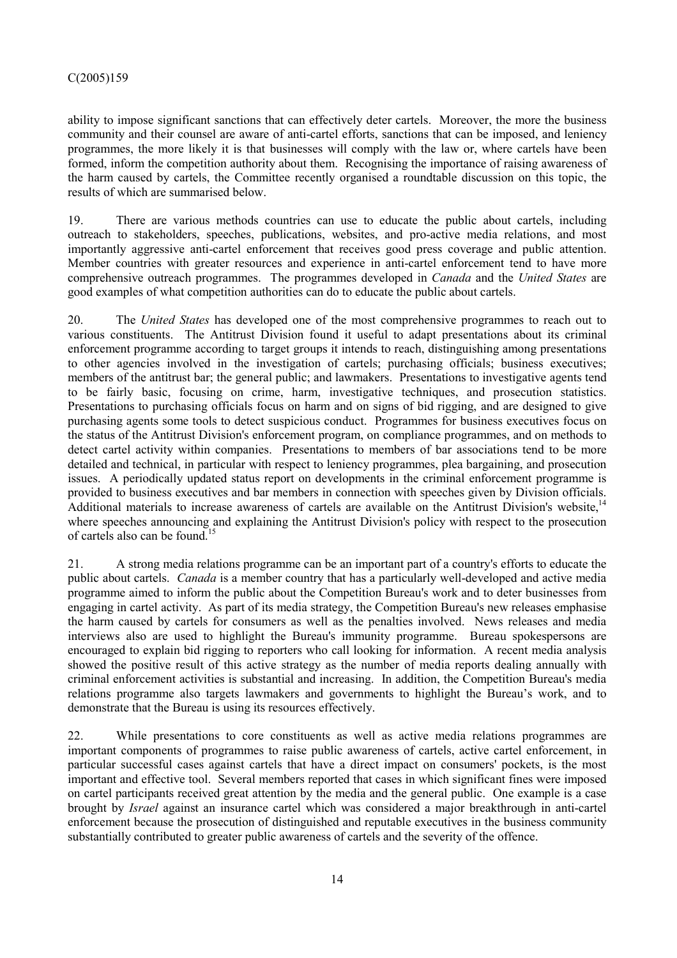ability to impose significant sanctions that can effectively deter cartels. Moreover, the more the business community and their counsel are aware of anti-cartel efforts, sanctions that can be imposed, and leniency programmes, the more likely it is that businesses will comply with the law or, where cartels have been formed, inform the competition authority about them. Recognising the importance of raising awareness of the harm caused by cartels, the Committee recently organised a roundtable discussion on this topic, the results of which are summarised below.

19. There are various methods countries can use to educate the public about cartels, including outreach to stakeholders, speeches, publications, websites, and pro-active media relations, and most importantly aggressive anti-cartel enforcement that receives good press coverage and public attention. Member countries with greater resources and experience in anti-cartel enforcement tend to have more comprehensive outreach programmes. The programmes developed in *Canada* and the *United States* are good examples of what competition authorities can do to educate the public about cartels.

20. The *United States* has developed one of the most comprehensive programmes to reach out to various constituents. The Antitrust Division found it useful to adapt presentations about its criminal enforcement programme according to target groups it intends to reach, distinguishing among presentations to other agencies involved in the investigation of cartels; purchasing officials; business executives; members of the antitrust bar; the general public; and lawmakers. Presentations to investigative agents tend to be fairly basic, focusing on crime, harm, investigative techniques, and prosecution statistics. Presentations to purchasing officials focus on harm and on signs of bid rigging, and are designed to give purchasing agents some tools to detect suspicious conduct. Programmes for business executives focus on the status of the Antitrust Division's enforcement program, on compliance programmes, and on methods to detect cartel activity within companies. Presentations to members of bar associations tend to be more detailed and technical, in particular with respect to leniency programmes, plea bargaining, and prosecution issues. A periodically updated status report on developments in the criminal enforcement programme is provided to business executives and bar members in connection with speeches given by Division officials. Additional materials to increase awareness of cartels are available on the Antitrust Division's website.<sup>14</sup> where speeches announcing and explaining the Antitrust Division's policy with respect to the prosecution of cartels also can be found.15

21. A strong media relations programme can be an important part of a country's efforts to educate the public about cartels. *Canada* is a member country that has a particularly well-developed and active media programme aimed to inform the public about the Competition Bureau's work and to deter businesses from engaging in cartel activity. As part of its media strategy, the Competition Bureau's new releases emphasise the harm caused by cartels for consumers as well as the penalties involved. News releases and media interviews also are used to highlight the Bureau's immunity programme. Bureau spokespersons are encouraged to explain bid rigging to reporters who call looking for information. A recent media analysis showed the positive result of this active strategy as the number of media reports dealing annually with criminal enforcement activities is substantial and increasing. In addition, the Competition Bureau's media relations programme also targets lawmakers and governments to highlight the Bureau's work, and to demonstrate that the Bureau is using its resources effectively.

22. While presentations to core constituents as well as active media relations programmes are important components of programmes to raise public awareness of cartels, active cartel enforcement, in particular successful cases against cartels that have a direct impact on consumers' pockets, is the most important and effective tool. Several members reported that cases in which significant fines were imposed on cartel participants received great attention by the media and the general public. One example is a case brought by *Israel* against an insurance cartel which was considered a major breakthrough in anti-cartel enforcement because the prosecution of distinguished and reputable executives in the business community substantially contributed to greater public awareness of cartels and the severity of the offence.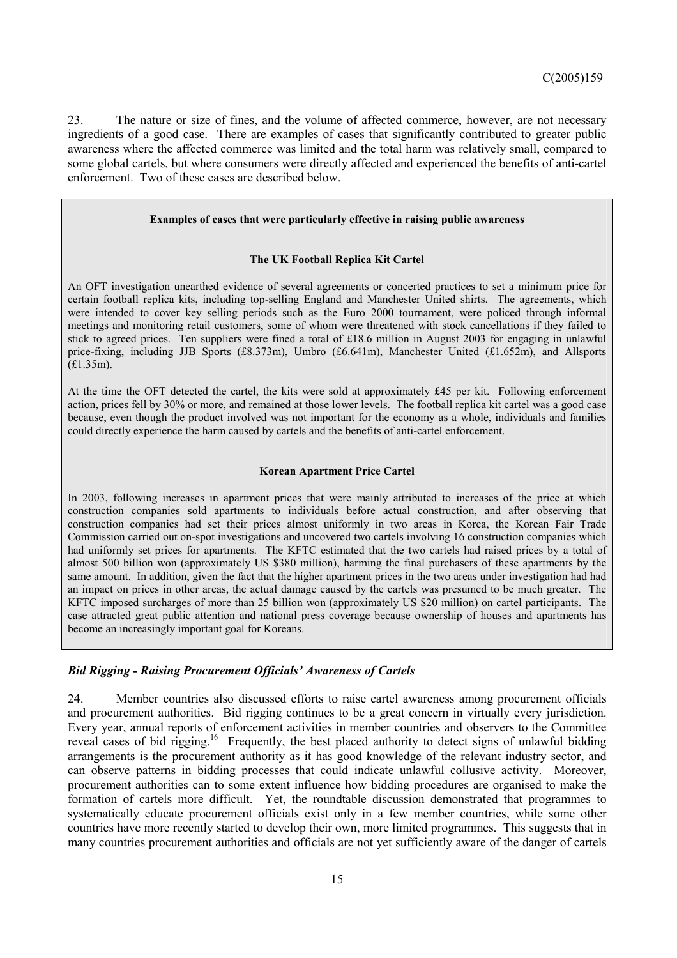23. The nature or size of fines, and the volume of affected commerce, however, are not necessary ingredients of a good case. There are examples of cases that significantly contributed to greater public awareness where the affected commerce was limited and the total harm was relatively small, compared to some global cartels, but where consumers were directly affected and experienced the benefits of anti-cartel enforcement. Two of these cases are described below.

#### **Examples of cases that were particularly effective in raising public awareness**

#### **The UK Football Replica Kit Cartel**

An OFT investigation unearthed evidence of several agreements or concerted practices to set a minimum price for certain football replica kits, including top-selling England and Manchester United shirts. The agreements, which were intended to cover key selling periods such as the Euro 2000 tournament, were policed through informal meetings and monitoring retail customers, some of whom were threatened with stock cancellations if they failed to stick to agreed prices. Ten suppliers were fined a total of £18.6 million in August 2003 for engaging in unlawful price-fixing, including JJB Sports (£8.373m), Umbro (£6.641m), Manchester United (£1.652m), and Allsports (£1.35m).

At the time the OFT detected the cartel, the kits were sold at approximately £45 per kit. Following enforcement action, prices fell by 30% or more, and remained at those lower levels. The football replica kit cartel was a good case because, even though the product involved was not important for the economy as a whole, individuals and families could directly experience the harm caused by cartels and the benefits of anti-cartel enforcement.

#### **Korean Apartment Price Cartel**

In 2003, following increases in apartment prices that were mainly attributed to increases of the price at which construction companies sold apartments to individuals before actual construction, and after observing that construction companies had set their prices almost uniformly in two areas in Korea, the Korean Fair Trade Commission carried out on-spot investigations and uncovered two cartels involving 16 construction companies which had uniformly set prices for apartments. The KFTC estimated that the two cartels had raised prices by a total of almost 500 billion won (approximately US \$380 million), harming the final purchasers of these apartments by the same amount. In addition, given the fact that the higher apartment prices in the two areas under investigation had had an impact on prices in other areas, the actual damage caused by the cartels was presumed to be much greater. The KFTC imposed surcharges of more than 25 billion won (approximately US \$20 million) on cartel participants. The case attracted great public attention and national press coverage because ownership of houses and apartments has become an increasingly important goal for Koreans.

### *Bid Rigging - Raising Procurement Officials' Awareness of Cartels*

24. Member countries also discussed efforts to raise cartel awareness among procurement officials and procurement authorities. Bid rigging continues to be a great concern in virtually every jurisdiction. Every year, annual reports of enforcement activities in member countries and observers to the Committee reveal cases of bid rigging.<sup>16</sup> Frequently, the best placed authority to detect signs of unlawful bidding arrangements is the procurement authority as it has good knowledge of the relevant industry sector, and can observe patterns in bidding processes that could indicate unlawful collusive activity. Moreover, procurement authorities can to some extent influence how bidding procedures are organised to make the formation of cartels more difficult. Yet, the roundtable discussion demonstrated that programmes to systematically educate procurement officials exist only in a few member countries, while some other countries have more recently started to develop their own, more limited programmes. This suggests that in many countries procurement authorities and officials are not yet sufficiently aware of the danger of cartels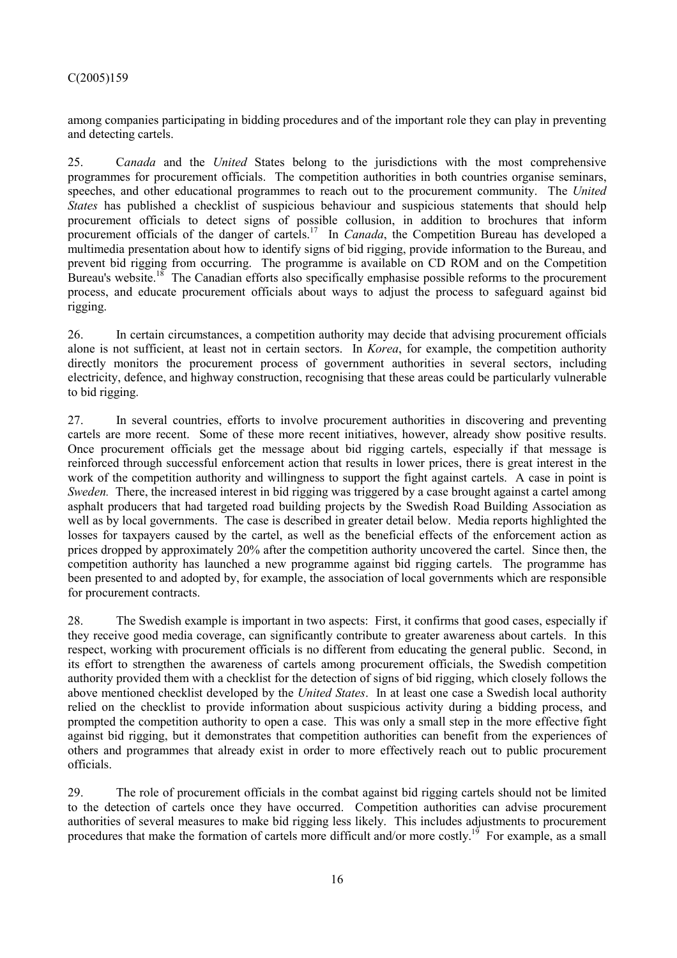among companies participating in bidding procedures and of the important role they can play in preventing and detecting cartels.

25. C*anada* and the *United* States belong to the jurisdictions with the most comprehensive programmes for procurement officials. The competition authorities in both countries organise seminars, speeches, and other educational programmes to reach out to the procurement community. The *United States* has published a checklist of suspicious behaviour and suspicious statements that should help procurement officials to detect signs of possible collusion, in addition to brochures that inform procurement officials of the danger of cartels.<sup>17</sup> In *Canada*, the Competition Bureau has developed a multimedia presentation about how to identify signs of bid rigging, provide information to the Bureau, and prevent bid rigging from occurring. The programme is available on CD ROM and on the Competition Bureau's website.<sup>18</sup> The Canadian efforts also specifically emphasise possible reforms to the procurement process, and educate procurement officials about ways to adjust the process to safeguard against bid rigging.

26. In certain circumstances, a competition authority may decide that advising procurement officials alone is not sufficient, at least not in certain sectors. In *Korea*, for example, the competition authority directly monitors the procurement process of government authorities in several sectors, including electricity, defence, and highway construction, recognising that these areas could be particularly vulnerable to bid rigging.

27. In several countries, efforts to involve procurement authorities in discovering and preventing cartels are more recent. Some of these more recent initiatives, however, already show positive results. Once procurement officials get the message about bid rigging cartels, especially if that message is reinforced through successful enforcement action that results in lower prices, there is great interest in the work of the competition authority and willingness to support the fight against cartels. A case in point is *Sweden.* There, the increased interest in bid rigging was triggered by a case brought against a cartel among asphalt producers that had targeted road building projects by the Swedish Road Building Association as well as by local governments. The case is described in greater detail below. Media reports highlighted the losses for taxpayers caused by the cartel, as well as the beneficial effects of the enforcement action as prices dropped by approximately 20% after the competition authority uncovered the cartel. Since then, the competition authority has launched a new programme against bid rigging cartels. The programme has been presented to and adopted by, for example, the association of local governments which are responsible for procurement contracts.

28. The Swedish example is important in two aspects: First, it confirms that good cases, especially if they receive good media coverage, can significantly contribute to greater awareness about cartels. In this respect, working with procurement officials is no different from educating the general public. Second, in its effort to strengthen the awareness of cartels among procurement officials, the Swedish competition authority provided them with a checklist for the detection of signs of bid rigging, which closely follows the above mentioned checklist developed by the *United States*. In at least one case a Swedish local authority relied on the checklist to provide information about suspicious activity during a bidding process, and prompted the competition authority to open a case. This was only a small step in the more effective fight against bid rigging, but it demonstrates that competition authorities can benefit from the experiences of others and programmes that already exist in order to more effectively reach out to public procurement officials.

29. The role of procurement officials in the combat against bid rigging cartels should not be limited to the detection of cartels once they have occurred. Competition authorities can advise procurement authorities of several measures to make bid rigging less likely. This includes adjustments to procurement procedures that make the formation of cartels more difficult and/or more costly.<sup>19</sup> For example, as a small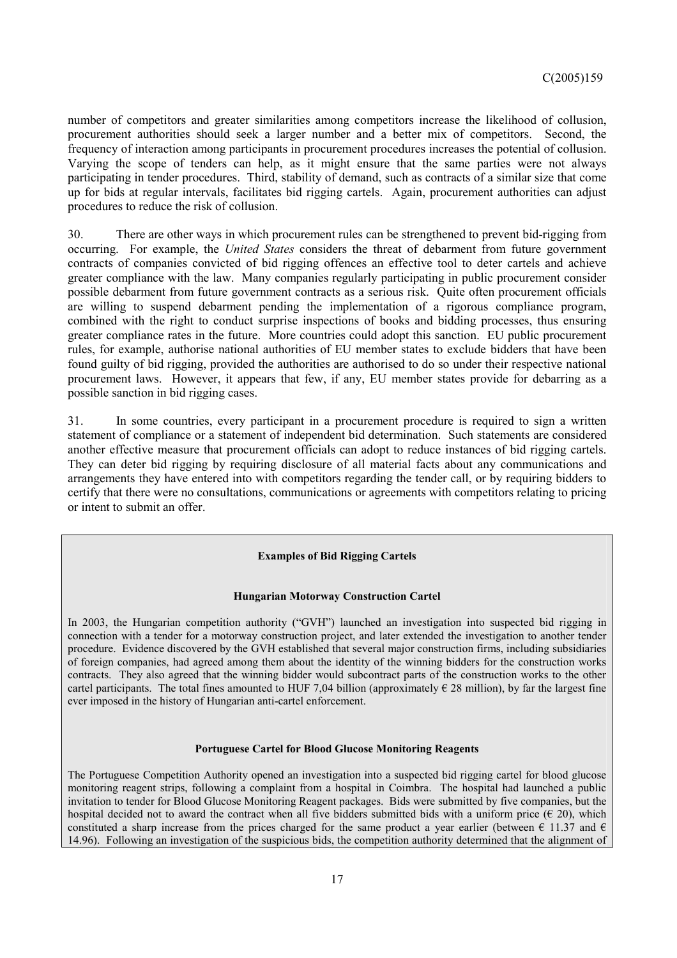number of competitors and greater similarities among competitors increase the likelihood of collusion, procurement authorities should seek a larger number and a better mix of competitors. Second, the frequency of interaction among participants in procurement procedures increases the potential of collusion. Varying the scope of tenders can help, as it might ensure that the same parties were not always participating in tender procedures. Third, stability of demand, such as contracts of a similar size that come up for bids at regular intervals, facilitates bid rigging cartels. Again, procurement authorities can adjust procedures to reduce the risk of collusion.

30. There are other ways in which procurement rules can be strengthened to prevent bid-rigging from occurring. For example, the *United States* considers the threat of debarment from future government contracts of companies convicted of bid rigging offences an effective tool to deter cartels and achieve greater compliance with the law. Many companies regularly participating in public procurement consider possible debarment from future government contracts as a serious risk. Quite often procurement officials are willing to suspend debarment pending the implementation of a rigorous compliance program, combined with the right to conduct surprise inspections of books and bidding processes, thus ensuring greater compliance rates in the future. More countries could adopt this sanction. EU public procurement rules, for example, authorise national authorities of EU member states to exclude bidders that have been found guilty of bid rigging, provided the authorities are authorised to do so under their respective national procurement laws. However, it appears that few, if any, EU member states provide for debarring as a possible sanction in bid rigging cases.

31. In some countries, every participant in a procurement procedure is required to sign a written statement of compliance or a statement of independent bid determination. Such statements are considered another effective measure that procurement officials can adopt to reduce instances of bid rigging cartels. They can deter bid rigging by requiring disclosure of all material facts about any communications and arrangements they have entered into with competitors regarding the tender call, or by requiring bidders to certify that there were no consultations, communications or agreements with competitors relating to pricing or intent to submit an offer.

## **Examples of Bid Rigging Cartels**

#### **Hungarian Motorway Construction Cartel**

In 2003, the Hungarian competition authority ("GVH") launched an investigation into suspected bid rigging in connection with a tender for a motorway construction project, and later extended the investigation to another tender procedure. Evidence discovered by the GVH established that several major construction firms, including subsidiaries of foreign companies, had agreed among them about the identity of the winning bidders for the construction works contracts. They also agreed that the winning bidder would subcontract parts of the construction works to the other cartel participants. The total fines amounted to HUF 7,04 billion (approximately  $\epsilon$  28 million), by far the largest fine ever imposed in the history of Hungarian anti-cartel enforcement.

#### **Portuguese Cartel for Blood Glucose Monitoring Reagents**

The Portuguese Competition Authority opened an investigation into a suspected bid rigging cartel for blood glucose monitoring reagent strips, following a complaint from a hospital in Coimbra. The hospital had launched a public invitation to tender for Blood Glucose Monitoring Reagent packages. Bids were submitted by five companies, but the hospital decided not to award the contract when all five bidders submitted bids with a uniform price  $(\epsilon 20)$ , which constituted a sharp increase from the prices charged for the same product a year earlier (between  $\epsilon$  11.37 and  $\epsilon$ 14.96). Following an investigation of the suspicious bids, the competition authority determined that the alignment of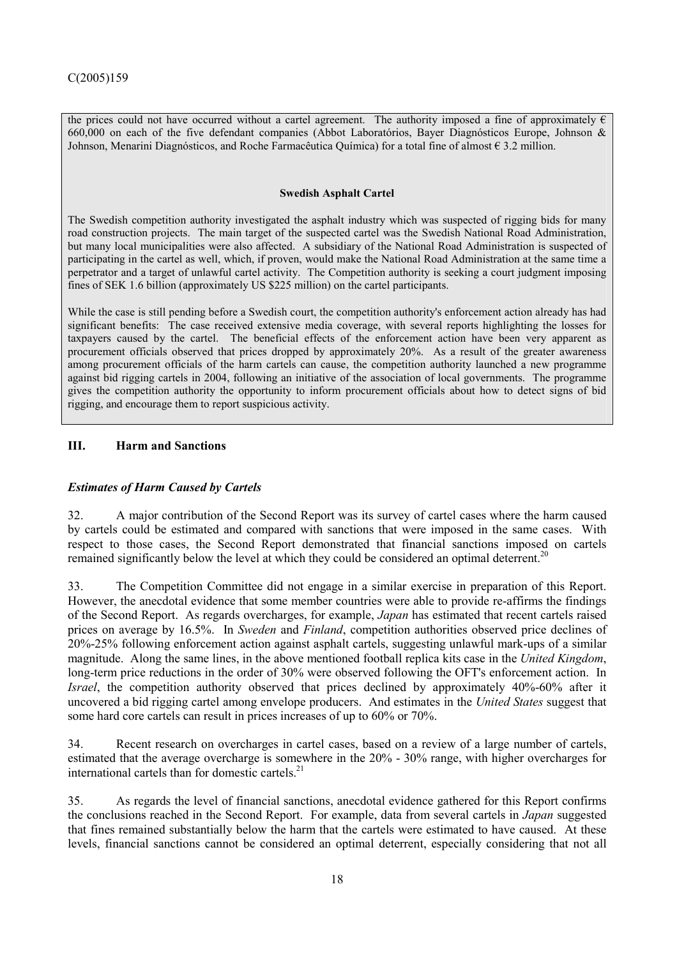the prices could not have occurred without a cartel agreement. The authority imposed a fine of approximately  $\epsilon$ 660,000 on each of the five defendant companies (Abbot Laboratórios, Bayer Diagnósticos Europe, Johnson & Johnson, Menarini Diagnósticos, and Roche Farmacêutica Química) for a total fine of almost € 3.2 million.

### **Swedish Asphalt Cartel**

The Swedish competition authority investigated the asphalt industry which was suspected of rigging bids for many road construction projects. The main target of the suspected cartel was the Swedish National Road Administration, but many local municipalities were also affected. A subsidiary of the National Road Administration is suspected of participating in the cartel as well, which, if proven, would make the National Road Administration at the same time a perpetrator and a target of unlawful cartel activity. The Competition authority is seeking a court judgment imposing fines of SEK 1.6 billion (approximately US \$225 million) on the cartel participants.

While the case is still pending before a Swedish court, the competition authority's enforcement action already has had significant benefits: The case received extensive media coverage, with several reports highlighting the losses for taxpayers caused by the cartel. The beneficial effects of the enforcement action have been very apparent as procurement officials observed that prices dropped by approximately 20%. As a result of the greater awareness among procurement officials of the harm cartels can cause, the competition authority launched a new programme against bid rigging cartels in 2004, following an initiative of the association of local governments. The programme gives the competition authority the opportunity to inform procurement officials about how to detect signs of bid rigging, and encourage them to report suspicious activity.

# **III. Harm and Sanctions**

# *Estimates of Harm Caused by Cartels*

32. A major contribution of the Second Report was its survey of cartel cases where the harm caused by cartels could be estimated and compared with sanctions that were imposed in the same cases. With respect to those cases, the Second Report demonstrated that financial sanctions imposed on cartels remained significantly below the level at which they could be considered an optimal deterrent.<sup>20</sup>

33. The Competition Committee did not engage in a similar exercise in preparation of this Report. However, the anecdotal evidence that some member countries were able to provide re-affirms the findings of the Second Report. As regards overcharges, for example, *Japan* has estimated that recent cartels raised prices on average by 16.5%. In *Sweden* and *Finland*, competition authorities observed price declines of 20%-25% following enforcement action against asphalt cartels, suggesting unlawful mark-ups of a similar magnitude. Along the same lines, in the above mentioned football replica kits case in the *United Kingdom*, long-term price reductions in the order of 30% were observed following the OFT's enforcement action. In *Israel*, the competition authority observed that prices declined by approximately 40%-60% after it uncovered a bid rigging cartel among envelope producers. And estimates in the *United States* suggest that some hard core cartels can result in prices increases of up to 60% or 70%.

34. Recent research on overcharges in cartel cases, based on a review of a large number of cartels, estimated that the average overcharge is somewhere in the 20% - 30% range, with higher overcharges for international cartels than for domestic cartels.<sup>21</sup>

35. As regards the level of financial sanctions, anecdotal evidence gathered for this Report confirms the conclusions reached in the Second Report. For example, data from several cartels in *Japan* suggested that fines remained substantially below the harm that the cartels were estimated to have caused. At these levels, financial sanctions cannot be considered an optimal deterrent, especially considering that not all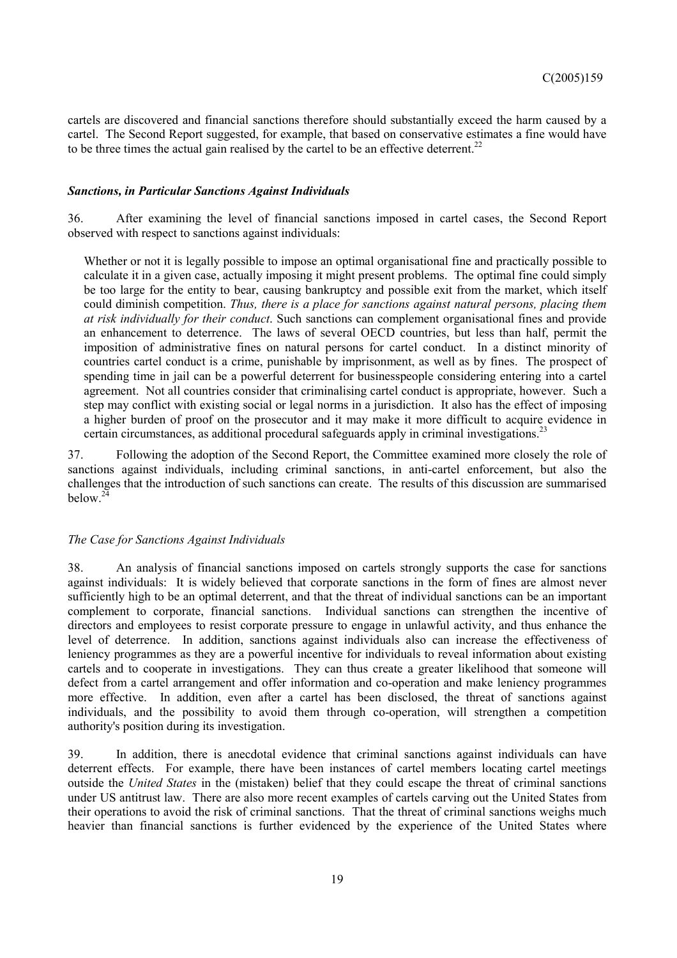cartels are discovered and financial sanctions therefore should substantially exceed the harm caused by a cartel. The Second Report suggested, for example, that based on conservative estimates a fine would have to be three times the actual gain realised by the cartel to be an effective deterrent.<sup>22</sup>

### *Sanctions, in Particular Sanctions Against Individuals*

36. After examining the level of financial sanctions imposed in cartel cases, the Second Report observed with respect to sanctions against individuals:

Whether or not it is legally possible to impose an optimal organisational fine and practically possible to calculate it in a given case, actually imposing it might present problems. The optimal fine could simply be too large for the entity to bear, causing bankruptcy and possible exit from the market, which itself could diminish competition. *Thus, there is a place for sanctions against natural persons, placing them at risk individually for their conduct*. Such sanctions can complement organisational fines and provide an enhancement to deterrence. The laws of several OECD countries, but less than half, permit the imposition of administrative fines on natural persons for cartel conduct. In a distinct minority of countries cartel conduct is a crime, punishable by imprisonment, as well as by fines. The prospect of spending time in jail can be a powerful deterrent for businesspeople considering entering into a cartel agreement. Not all countries consider that criminalising cartel conduct is appropriate, however. Such a step may conflict with existing social or legal norms in a jurisdiction. It also has the effect of imposing a higher burden of proof on the prosecutor and it may make it more difficult to acquire evidence in certain circumstances, as additional procedural safeguards apply in criminal investigations.<sup>23</sup>

37. Following the adoption of the Second Report, the Committee examined more closely the role of sanctions against individuals, including criminal sanctions, in anti-cartel enforcement, but also the challenges that the introduction of such sanctions can create. The results of this discussion are summarised below. $^{24}$ 

### *The Case for Sanctions Against Individuals*

38. An analysis of financial sanctions imposed on cartels strongly supports the case for sanctions against individuals: It is widely believed that corporate sanctions in the form of fines are almost never sufficiently high to be an optimal deterrent, and that the threat of individual sanctions can be an important complement to corporate, financial sanctions. Individual sanctions can strengthen the incentive of directors and employees to resist corporate pressure to engage in unlawful activity, and thus enhance the level of deterrence. In addition, sanctions against individuals also can increase the effectiveness of leniency programmes as they are a powerful incentive for individuals to reveal information about existing cartels and to cooperate in investigations. They can thus create a greater likelihood that someone will defect from a cartel arrangement and offer information and co-operation and make leniency programmes more effective. In addition, even after a cartel has been disclosed, the threat of sanctions against individuals, and the possibility to avoid them through co-operation, will strengthen a competition authority's position during its investigation.

39. In addition, there is anecdotal evidence that criminal sanctions against individuals can have deterrent effects. For example, there have been instances of cartel members locating cartel meetings outside the *United States* in the (mistaken) belief that they could escape the threat of criminal sanctions under US antitrust law. There are also more recent examples of cartels carving out the United States from their operations to avoid the risk of criminal sanctions. That the threat of criminal sanctions weighs much heavier than financial sanctions is further evidenced by the experience of the United States where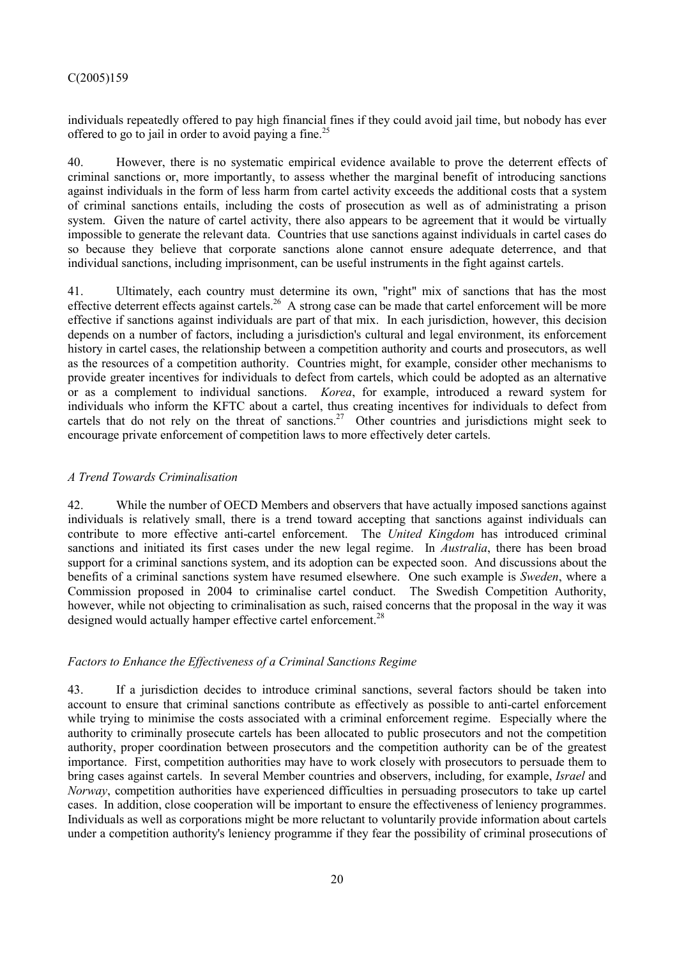individuals repeatedly offered to pay high financial fines if they could avoid jail time, but nobody has ever offered to go to jail in order to avoid paying a fine.<sup>25</sup>

40. However, there is no systematic empirical evidence available to prove the deterrent effects of criminal sanctions or, more importantly, to assess whether the marginal benefit of introducing sanctions against individuals in the form of less harm from cartel activity exceeds the additional costs that a system of criminal sanctions entails, including the costs of prosecution as well as of administrating a prison system. Given the nature of cartel activity, there also appears to be agreement that it would be virtually impossible to generate the relevant data. Countries that use sanctions against individuals in cartel cases do so because they believe that corporate sanctions alone cannot ensure adequate deterrence, and that individual sanctions, including imprisonment, can be useful instruments in the fight against cartels.

41. Ultimately, each country must determine its own, "right" mix of sanctions that has the most effective deterrent effects against cartels.<sup>26</sup> A strong case can be made that cartel enforcement will be more effective if sanctions against individuals are part of that mix. In each jurisdiction, however, this decision depends on a number of factors, including a jurisdiction's cultural and legal environment, its enforcement history in cartel cases, the relationship between a competition authority and courts and prosecutors, as well as the resources of a competition authority. Countries might, for example, consider other mechanisms to provide greater incentives for individuals to defect from cartels, which could be adopted as an alternative or as a complement to individual sanctions. *Korea*, for example, introduced a reward system for individuals who inform the KFTC about a cartel, thus creating incentives for individuals to defect from cartels that do not rely on the threat of sanctions.<sup>27</sup> Other countries and jurisdictions might seek to encourage private enforcement of competition laws to more effectively deter cartels.

# *A Trend Towards Criminalisation*

42. While the number of OECD Members and observers that have actually imposed sanctions against individuals is relatively small, there is a trend toward accepting that sanctions against individuals can contribute to more effective anti-cartel enforcement. The *United Kingdom* has introduced criminal sanctions and initiated its first cases under the new legal regime. In *Australia*, there has been broad support for a criminal sanctions system, and its adoption can be expected soon. And discussions about the benefits of a criminal sanctions system have resumed elsewhere. One such example is *Sweden*, where a Commission proposed in 2004 to criminalise cartel conduct. The Swedish Competition Authority, however, while not objecting to criminalisation as such, raised concerns that the proposal in the way it was designed would actually hamper effective cartel enforcement.<sup>28</sup>

# *Factors to Enhance the Effectiveness of a Criminal Sanctions Regime*

43. If a jurisdiction decides to introduce criminal sanctions, several factors should be taken into account to ensure that criminal sanctions contribute as effectively as possible to anti-cartel enforcement while trying to minimise the costs associated with a criminal enforcement regime. Especially where the authority to criminally prosecute cartels has been allocated to public prosecutors and not the competition authority, proper coordination between prosecutors and the competition authority can be of the greatest importance. First, competition authorities may have to work closely with prosecutors to persuade them to bring cases against cartels. In several Member countries and observers, including, for example, *Israel* and *Norway*, competition authorities have experienced difficulties in persuading prosecutors to take up cartel cases. In addition, close cooperation will be important to ensure the effectiveness of leniency programmes. Individuals as well as corporations might be more reluctant to voluntarily provide information about cartels under a competition authority's leniency programme if they fear the possibility of criminal prosecutions of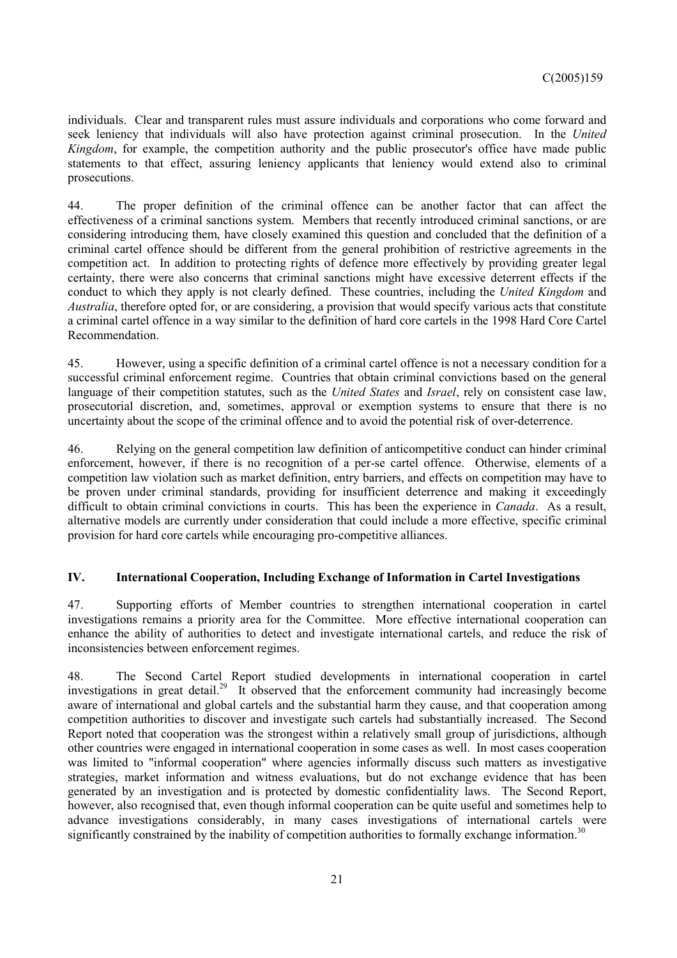individuals. Clear and transparent rules must assure individuals and corporations who come forward and seek leniency that individuals will also have protection against criminal prosecution. In the *United Kingdom*, for example, the competition authority and the public prosecutor's office have made public statements to that effect, assuring leniency applicants that leniency would extend also to criminal prosecutions.

44. The proper definition of the criminal offence can be another factor that can affect the effectiveness of a criminal sanctions system. Members that recently introduced criminal sanctions, or are considering introducing them, have closely examined this question and concluded that the definition of a criminal cartel offence should be different from the general prohibition of restrictive agreements in the competition act. In addition to protecting rights of defence more effectively by providing greater legal certainty, there were also concerns that criminal sanctions might have excessive deterrent effects if the conduct to which they apply is not clearly defined. These countries, including the *United Kingdom* and *Australia*, therefore opted for, or are considering, a provision that would specify various acts that constitute a criminal cartel offence in a way similar to the definition of hard core cartels in the 1998 Hard Core Cartel Recommendation.

45. However, using a specific definition of a criminal cartel offence is not a necessary condition for a successful criminal enforcement regime. Countries that obtain criminal convictions based on the general language of their competition statutes, such as the *United States* and *Israel*, rely on consistent case law, prosecutorial discretion, and, sometimes, approval or exemption systems to ensure that there is no uncertainty about the scope of the criminal offence and to avoid the potential risk of over-deterrence.

46. Relying on the general competition law definition of anticompetitive conduct can hinder criminal enforcement, however, if there is no recognition of a per-se cartel offence. Otherwise, elements of a competition law violation such as market definition, entry barriers, and effects on competition may have to be proven under criminal standards, providing for insufficient deterrence and making it exceedingly difficult to obtain criminal convictions in courts. This has been the experience in *Canada*. As a result, alternative models are currently under consideration that could include a more effective, specific criminal provision for hard core cartels while encouraging pro-competitive alliances.

# **IV. International Cooperation, Including Exchange of Information in Cartel Investigations**

47. Supporting efforts of Member countries to strengthen international cooperation in cartel investigations remains a priority area for the Committee. More effective international cooperation can enhance the ability of authorities to detect and investigate international cartels, and reduce the risk of inconsistencies between enforcement regimes.

48. The Second Cartel Report studied developments in international cooperation in cartel investigations in great detail.<sup>29</sup> It observed that the enforcement community had increasingly become aware of international and global cartels and the substantial harm they cause, and that cooperation among competition authorities to discover and investigate such cartels had substantially increased. The Second Report noted that cooperation was the strongest within a relatively small group of jurisdictions, although other countries were engaged in international cooperation in some cases as well. In most cases cooperation was limited to "informal cooperation" where agencies informally discuss such matters as investigative strategies, market information and witness evaluations, but do not exchange evidence that has been generated by an investigation and is protected by domestic confidentiality laws. The Second Report, however, also recognised that, even though informal cooperation can be quite useful and sometimes help to advance investigations considerably, in many cases investigations of international cartels were significantly constrained by the inability of competition authorities to formally exchange information.<sup>30</sup>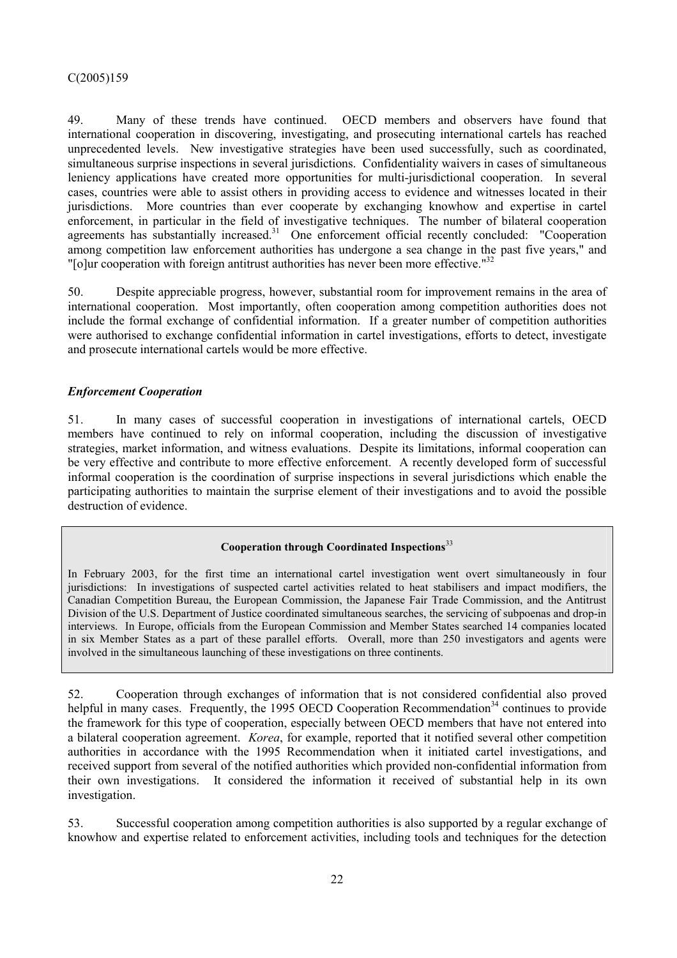49. Many of these trends have continued. OECD members and observers have found that international cooperation in discovering, investigating, and prosecuting international cartels has reached unprecedented levels. New investigative strategies have been used successfully, such as coordinated, simultaneous surprise inspections in several jurisdictions. Confidentiality waivers in cases of simultaneous leniency applications have created more opportunities for multi-jurisdictional cooperation. In several cases, countries were able to assist others in providing access to evidence and witnesses located in their jurisdictions. More countries than ever cooperate by exchanging knowhow and expertise in cartel enforcement, in particular in the field of investigative techniques. The number of bilateral cooperation agreements has substantially increased.<sup>31</sup> One enforcement official recently concluded: "Cooperation among competition law enforcement authorities has undergone a sea change in the past five years," and "[o]ur cooperation with foreign antitrust authorities has never been more effective."<sup>32</sup>

50. Despite appreciable progress, however, substantial room for improvement remains in the area of international cooperation. Most importantly, often cooperation among competition authorities does not include the formal exchange of confidential information. If a greater number of competition authorities were authorised to exchange confidential information in cartel investigations, efforts to detect, investigate and prosecute international cartels would be more effective.

# *Enforcement Cooperation*

51. In many cases of successful cooperation in investigations of international cartels, OECD members have continued to rely on informal cooperation, including the discussion of investigative strategies, market information, and witness evaluations. Despite its limitations, informal cooperation can be very effective and contribute to more effective enforcement. A recently developed form of successful informal cooperation is the coordination of surprise inspections in several jurisdictions which enable the participating authorities to maintain the surprise element of their investigations and to avoid the possible destruction of evidence.

# **Cooperation through Coordinated Inspections**<sup>33</sup>

In February 2003, for the first time an international cartel investigation went overt simultaneously in four jurisdictions: In investigations of suspected cartel activities related to heat stabilisers and impact modifiers, the Canadian Competition Bureau, the European Commission, the Japanese Fair Trade Commission, and the Antitrust Division of the U.S. Department of Justice coordinated simultaneous searches, the servicing of subpoenas and drop-in interviews. In Europe, officials from the European Commission and Member States searched 14 companies located in six Member States as a part of these parallel efforts. Overall, more than 250 investigators and agents were involved in the simultaneous launching of these investigations on three continents.

52. Cooperation through exchanges of information that is not considered confidential also proved helpful in many cases. Frequently, the 1995 OECD Cooperation Recommendation<sup>34</sup> continues to provide the framework for this type of cooperation, especially between OECD members that have not entered into a bilateral cooperation agreement. *Korea*, for example, reported that it notified several other competition authorities in accordance with the 1995 Recommendation when it initiated cartel investigations, and received support from several of the notified authorities which provided non-confidential information from their own investigations. It considered the information it received of substantial help in its own investigation.

53. Successful cooperation among competition authorities is also supported by a regular exchange of knowhow and expertise related to enforcement activities, including tools and techniques for the detection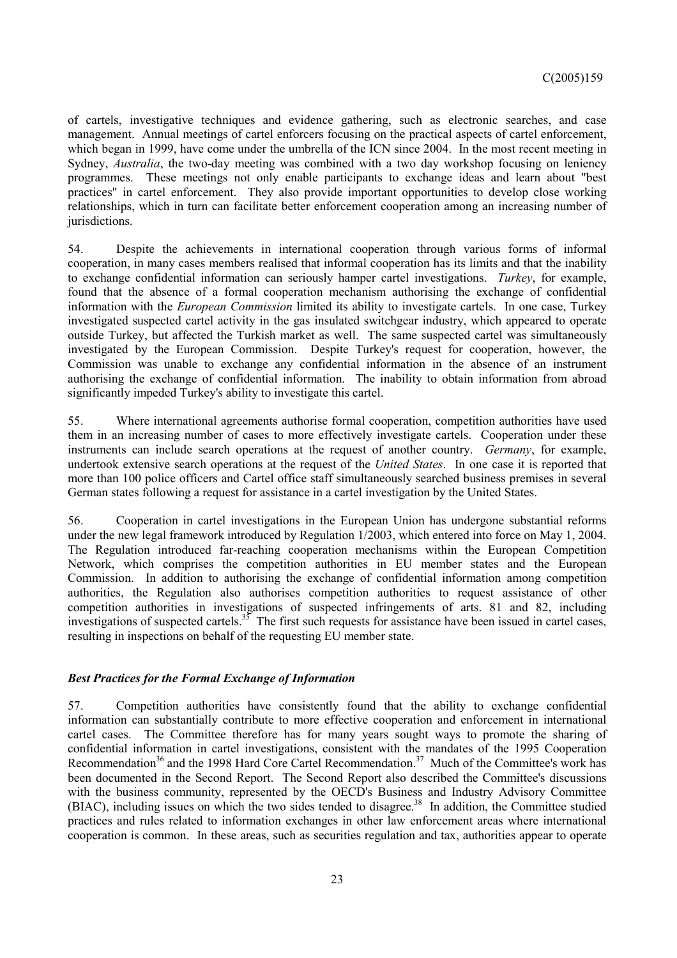of cartels, investigative techniques and evidence gathering, such as electronic searches, and case management. Annual meetings of cartel enforcers focusing on the practical aspects of cartel enforcement, which began in 1999, have come under the umbrella of the ICN since 2004. In the most recent meeting in Sydney, *Australia*, the two-day meeting was combined with a two day workshop focusing on leniency programmes. These meetings not only enable participants to exchange ideas and learn about "best practices" in cartel enforcement. They also provide important opportunities to develop close working relationships, which in turn can facilitate better enforcement cooperation among an increasing number of jurisdictions.

54. Despite the achievements in international cooperation through various forms of informal cooperation, in many cases members realised that informal cooperation has its limits and that the inability to exchange confidential information can seriously hamper cartel investigations. *Turkey*, for example, found that the absence of a formal cooperation mechanism authorising the exchange of confidential information with the *European Commission* limited its ability to investigate cartels. In one case, Turkey investigated suspected cartel activity in the gas insulated switchgear industry, which appeared to operate outside Turkey, but affected the Turkish market as well. The same suspected cartel was simultaneously investigated by the European Commission. Despite Turkey's request for cooperation, however, the Commission was unable to exchange any confidential information in the absence of an instrument authorising the exchange of confidential information. The inability to obtain information from abroad significantly impeded Turkey's ability to investigate this cartel.

55. Where international agreements authorise formal cooperation, competition authorities have used them in an increasing number of cases to more effectively investigate cartels. Cooperation under these instruments can include search operations at the request of another country. *Germany*, for example, undertook extensive search operations at the request of the *United States*. In one case it is reported that more than 100 police officers and Cartel office staff simultaneously searched business premises in several German states following a request for assistance in a cartel investigation by the United States.

56. Cooperation in cartel investigations in the European Union has undergone substantial reforms under the new legal framework introduced by Regulation 1/2003, which entered into force on May 1, 2004. The Regulation introduced far-reaching cooperation mechanisms within the European Competition Network, which comprises the competition authorities in EU member states and the European Commission. In addition to authorising the exchange of confidential information among competition authorities, the Regulation also authorises competition authorities to request assistance of other competition authorities in investigations of suspected infringements of arts. 81 and 82, including investigations of suspected cartels.<sup>35</sup> The first such requests for assistance have been issued in cartel cases, resulting in inspections on behalf of the requesting EU member state.

## *Best Practices for the Formal Exchange of Information*

57. Competition authorities have consistently found that the ability to exchange confidential information can substantially contribute to more effective cooperation and enforcement in international cartel cases. The Committee therefore has for many years sought ways to promote the sharing of confidential information in cartel investigations, consistent with the mandates of the 1995 Cooperation Recommendation<sup>36</sup> and the 1998 Hard Core Cartel Recommendation.<sup>37</sup> Much of the Committee's work has been documented in the Second Report. The Second Report also described the Committee's discussions with the business community, represented by the OECD's Business and Industry Advisory Committee (BIAC), including issues on which the two sides tended to disagree.<sup>38</sup> In addition, the Committee studied practices and rules related to information exchanges in other law enforcement areas where international cooperation is common. In these areas, such as securities regulation and tax, authorities appear to operate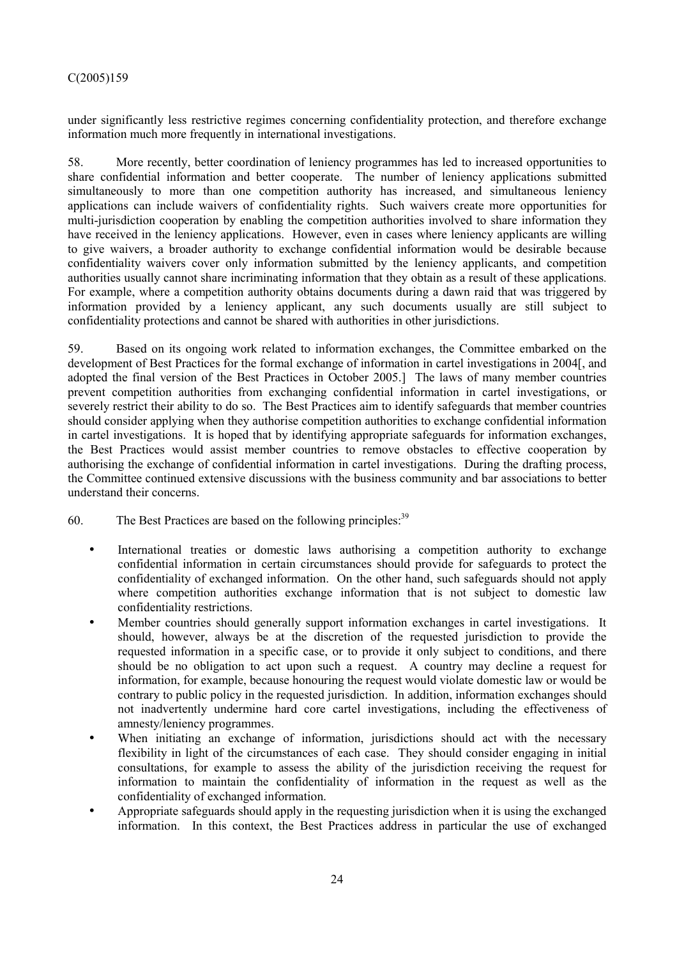under significantly less restrictive regimes concerning confidentiality protection, and therefore exchange information much more frequently in international investigations.

58. More recently, better coordination of leniency programmes has led to increased opportunities to share confidential information and better cooperate. The number of leniency applications submitted simultaneously to more than one competition authority has increased, and simultaneous leniency applications can include waivers of confidentiality rights. Such waivers create more opportunities for multi-jurisdiction cooperation by enabling the competition authorities involved to share information they have received in the leniency applications. However, even in cases where leniency applicants are willing to give waivers, a broader authority to exchange confidential information would be desirable because confidentiality waivers cover only information submitted by the leniency applicants, and competition authorities usually cannot share incriminating information that they obtain as a result of these applications. For example, where a competition authority obtains documents during a dawn raid that was triggered by information provided by a leniency applicant, any such documents usually are still subject to confidentiality protections and cannot be shared with authorities in other jurisdictions.

59. Based on its ongoing work related to information exchanges, the Committee embarked on the development of Best Practices for the formal exchange of information in cartel investigations in 2004[, and adopted the final version of the Best Practices in October 2005.] The laws of many member countries prevent competition authorities from exchanging confidential information in cartel investigations, or severely restrict their ability to do so. The Best Practices aim to identify safeguards that member countries should consider applying when they authorise competition authorities to exchange confidential information in cartel investigations. It is hoped that by identifying appropriate safeguards for information exchanges, the Best Practices would assist member countries to remove obstacles to effective cooperation by authorising the exchange of confidential information in cartel investigations. During the drafting process, the Committee continued extensive discussions with the business community and bar associations to better understand their concerns.

60. The Best Practices are based on the following principles:  $39$ 

- International treaties or domestic laws authorising a competition authority to exchange confidential information in certain circumstances should provide for safeguards to protect the confidentiality of exchanged information. On the other hand, such safeguards should not apply where competition authorities exchange information that is not subject to domestic law confidentiality restrictions.
- Member countries should generally support information exchanges in cartel investigations. It should, however, always be at the discretion of the requested jurisdiction to provide the requested information in a specific case, or to provide it only subject to conditions, and there should be no obligation to act upon such a request. A country may decline a request for information, for example, because honouring the request would violate domestic law or would be contrary to public policy in the requested jurisdiction. In addition, information exchanges should not inadvertently undermine hard core cartel investigations, including the effectiveness of amnesty/leniency programmes.
- When initiating an exchange of information, jurisdictions should act with the necessary flexibility in light of the circumstances of each case. They should consider engaging in initial consultations, for example to assess the ability of the jurisdiction receiving the request for information to maintain the confidentiality of information in the request as well as the confidentiality of exchanged information.
- Appropriate safeguards should apply in the requesting jurisdiction when it is using the exchanged information. In this context, the Best Practices address in particular the use of exchanged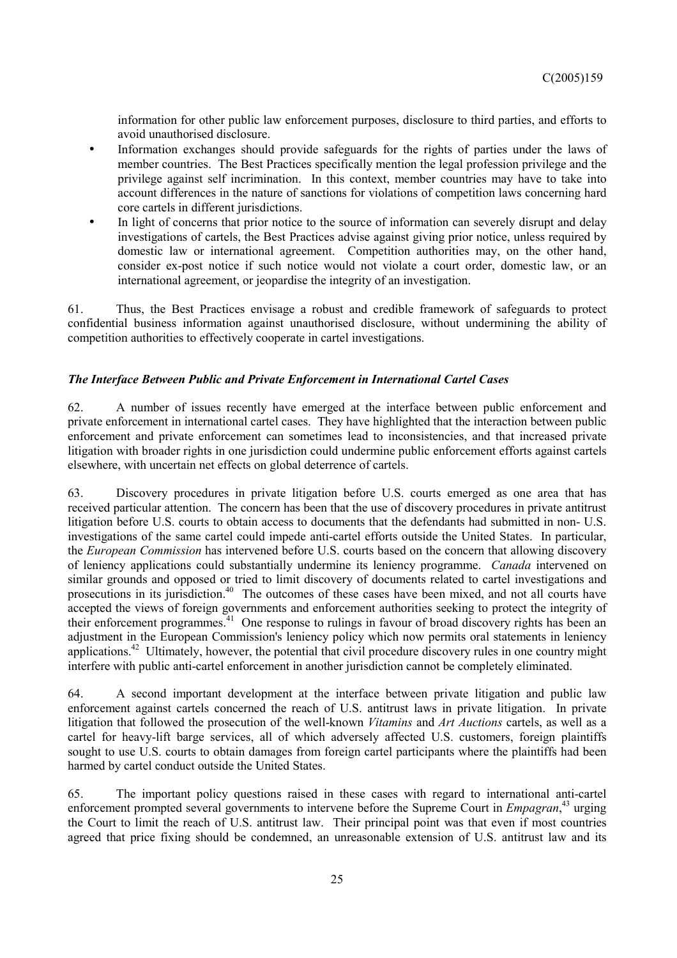information for other public law enforcement purposes, disclosure to third parties, and efforts to avoid unauthorised disclosure.

- Information exchanges should provide safeguards for the rights of parties under the laws of member countries. The Best Practices specifically mention the legal profession privilege and the privilege against self incrimination. In this context, member countries may have to take into account differences in the nature of sanctions for violations of competition laws concerning hard core cartels in different jurisdictions.
- In light of concerns that prior notice to the source of information can severely disrupt and delay investigations of cartels, the Best Practices advise against giving prior notice, unless required by domestic law or international agreement. Competition authorities may, on the other hand, consider ex-post notice if such notice would not violate a court order, domestic law, or an international agreement, or jeopardise the integrity of an investigation.

61. Thus, the Best Practices envisage a robust and credible framework of safeguards to protect confidential business information against unauthorised disclosure, without undermining the ability of competition authorities to effectively cooperate in cartel investigations.

# *The Interface Between Public and Private Enforcement in International Cartel Cases*

62. A number of issues recently have emerged at the interface between public enforcement and private enforcement in international cartel cases. They have highlighted that the interaction between public enforcement and private enforcement can sometimes lead to inconsistencies, and that increased private litigation with broader rights in one jurisdiction could undermine public enforcement efforts against cartels elsewhere, with uncertain net effects on global deterrence of cartels.

63. Discovery procedures in private litigation before U.S. courts emerged as one area that has received particular attention. The concern has been that the use of discovery procedures in private antitrust litigation before U.S. courts to obtain access to documents that the defendants had submitted in non- U.S. investigations of the same cartel could impede anti-cartel efforts outside the United States. In particular, the *European Commission* has intervened before U.S. courts based on the concern that allowing discovery of leniency applications could substantially undermine its leniency programme. *Canada* intervened on similar grounds and opposed or tried to limit discovery of documents related to cartel investigations and prosecutions in its jurisdiction.<sup>40</sup> The outcomes of these cases have been mixed, and not all courts have accepted the views of foreign governments and enforcement authorities seeking to protect the integrity of their enforcement programmes.41 One response to rulings in favour of broad discovery rights has been an adjustment in the European Commission's leniency policy which now permits oral statements in leniency applications.<sup>42</sup> Ultimately, however, the potential that civil procedure discovery rules in one country might interfere with public anti-cartel enforcement in another jurisdiction cannot be completely eliminated.

64. A second important development at the interface between private litigation and public law enforcement against cartels concerned the reach of U.S. antitrust laws in private litigation. In private litigation that followed the prosecution of the well-known *Vitamins* and *Art Auctions* cartels, as well as a cartel for heavy-lift barge services, all of which adversely affected U.S. customers, foreign plaintiffs sought to use U.S. courts to obtain damages from foreign cartel participants where the plaintiffs had been harmed by cartel conduct outside the United States.

65. The important policy questions raised in these cases with regard to international anti-cartel enforcement prompted several governments to intervene before the Supreme Court in *Empagran*, 43 urging the Court to limit the reach of U.S. antitrust law. Their principal point was that even if most countries agreed that price fixing should be condemned, an unreasonable extension of U.S. antitrust law and its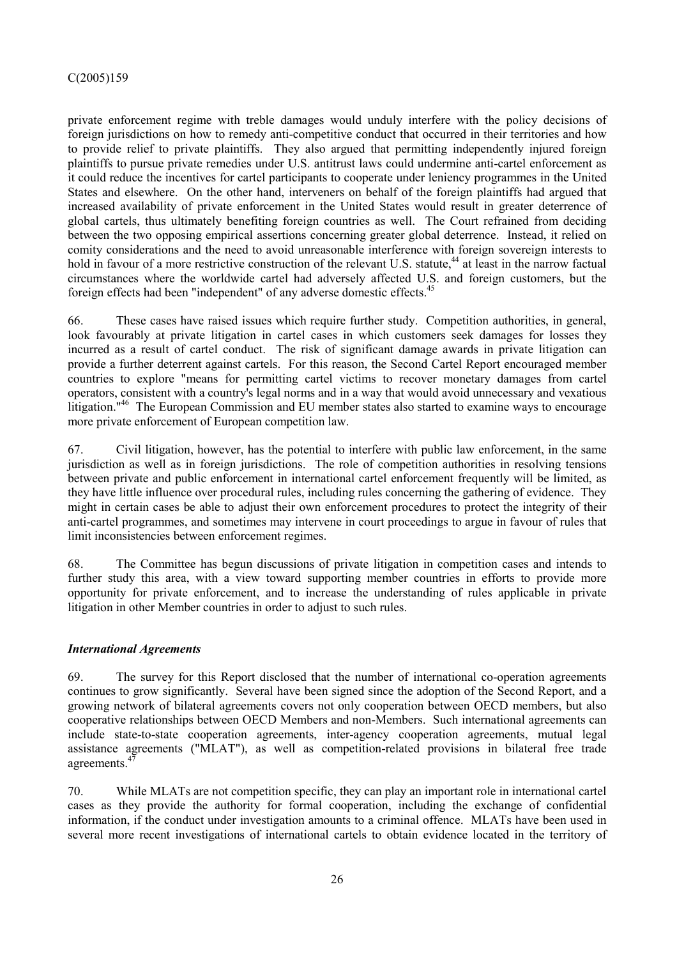private enforcement regime with treble damages would unduly interfere with the policy decisions of foreign jurisdictions on how to remedy anti-competitive conduct that occurred in their territories and how to provide relief to private plaintiffs. They also argued that permitting independently injured foreign plaintiffs to pursue private remedies under U.S. antitrust laws could undermine anti-cartel enforcement as it could reduce the incentives for cartel participants to cooperate under leniency programmes in the United States and elsewhere. On the other hand, interveners on behalf of the foreign plaintiffs had argued that increased availability of private enforcement in the United States would result in greater deterrence of global cartels, thus ultimately benefiting foreign countries as well. The Court refrained from deciding between the two opposing empirical assertions concerning greater global deterrence. Instead, it relied on comity considerations and the need to avoid unreasonable interference with foreign sovereign interests to hold in favour of a more restrictive construction of the relevant U.S. statute,<sup>44</sup> at least in the narrow factual circumstances where the worldwide cartel had adversely affected U.S. and foreign customers, but the foreign effects had been "independent" of any adverse domestic effects.45

66. These cases have raised issues which require further study. Competition authorities, in general, look favourably at private litigation in cartel cases in which customers seek damages for losses they incurred as a result of cartel conduct. The risk of significant damage awards in private litigation can provide a further deterrent against cartels. For this reason, the Second Cartel Report encouraged member countries to explore "means for permitting cartel victims to recover monetary damages from cartel operators, consistent with a country's legal norms and in a way that would avoid unnecessary and vexatious litigation."<sup>46</sup> The European Commission and EU member states also started to examine ways to encourage more private enforcement of European competition law.

67. Civil litigation, however, has the potential to interfere with public law enforcement, in the same jurisdiction as well as in foreign jurisdictions. The role of competition authorities in resolving tensions between private and public enforcement in international cartel enforcement frequently will be limited, as they have little influence over procedural rules, including rules concerning the gathering of evidence. They might in certain cases be able to adjust their own enforcement procedures to protect the integrity of their anti-cartel programmes, and sometimes may intervene in court proceedings to argue in favour of rules that limit inconsistencies between enforcement regimes.

68. The Committee has begun discussions of private litigation in competition cases and intends to further study this area, with a view toward supporting member countries in efforts to provide more opportunity for private enforcement, and to increase the understanding of rules applicable in private litigation in other Member countries in order to adjust to such rules.

# *International Agreements*

69. The survey for this Report disclosed that the number of international co-operation agreements continues to grow significantly. Several have been signed since the adoption of the Second Report, and a growing network of bilateral agreements covers not only cooperation between OECD members, but also cooperative relationships between OECD Members and non-Members. Such international agreements can include state-to-state cooperation agreements, inter-agency cooperation agreements, mutual legal assistance agreements ("MLAT"), as well as competition-related provisions in bilateral free trade agreements.<sup>4</sup>

70. While MLATs are not competition specific, they can play an important role in international cartel cases as they provide the authority for formal cooperation, including the exchange of confidential information, if the conduct under investigation amounts to a criminal offence. MLATs have been used in several more recent investigations of international cartels to obtain evidence located in the territory of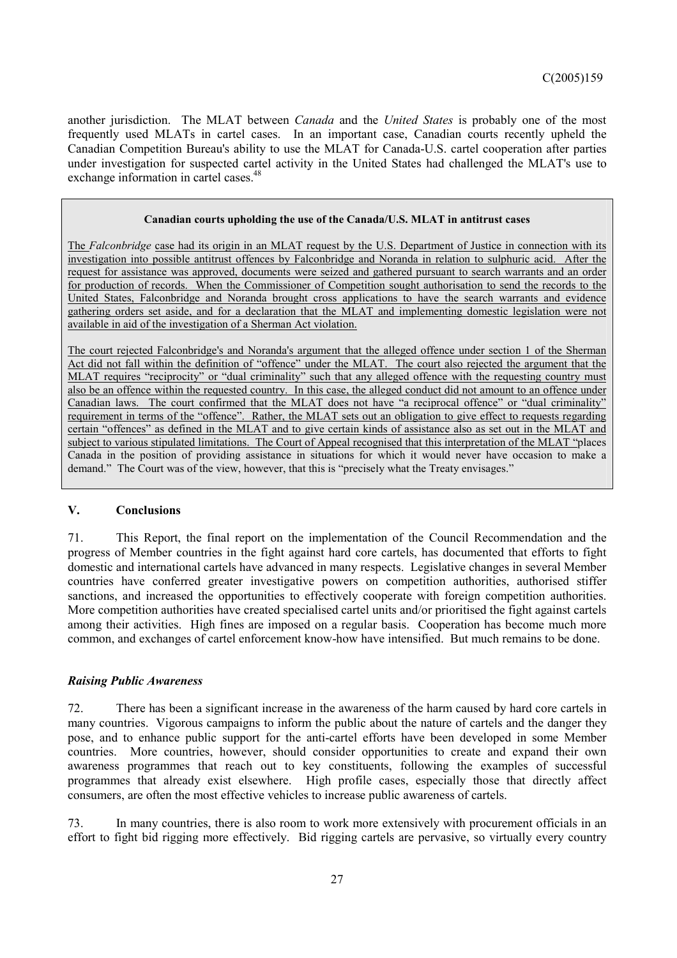another jurisdiction. The MLAT between *Canada* and the *United States* is probably one of the most frequently used MLATs in cartel cases. In an important case, Canadian courts recently upheld the Canadian Competition Bureau's ability to use the MLAT for Canada-U.S. cartel cooperation after parties under investigation for suspected cartel activity in the United States had challenged the MLAT's use to exchange information in cartel cases.<sup>48</sup>

#### **Canadian courts upholding the use of the Canada/U.S. MLAT in antitrust cases**

The *Falconbridge* case had its origin in an MLAT request by the U.S. Department of Justice in connection with its investigation into possible antitrust offences by Falconbridge and Noranda in relation to sulphuric acid. After the request for assistance was approved, documents were seized and gathered pursuant to search warrants and an order for production of records. When the Commissioner of Competition sought authorisation to send the records to the United States, Falconbridge and Noranda brought cross applications to have the search warrants and evidence gathering orders set aside, and for a declaration that the MLAT and implementing domestic legislation were not available in aid of the investigation of a Sherman Act violation.

The court rejected Falconbridge's and Noranda's argument that the alleged offence under section 1 of the Sherman Act did not fall within the definition of "offence" under the MLAT. The court also rejected the argument that the MLAT requires "reciprocity" or "dual criminality" such that any alleged offence with the requesting country must also be an offence within the requested country. In this case, the alleged conduct did not amount to an offence under Canadian laws. The court confirmed that the MLAT does not have "a reciprocal offence" or "dual criminality" requirement in terms of the "offence". Rather, the MLAT sets out an obligation to give effect to requests regarding certain "offences" as defined in the MLAT and to give certain kinds of assistance also as set out in the MLAT and subject to various stipulated limitations. The Court of Appeal recognised that this interpretation of the MLAT "places Canada in the position of providing assistance in situations for which it would never have occasion to make a demand." The Court was of the view, however, that this is "precisely what the Treaty envisages."

## **V. Conclusions**

71. This Report, the final report on the implementation of the Council Recommendation and the progress of Member countries in the fight against hard core cartels, has documented that efforts to fight domestic and international cartels have advanced in many respects. Legislative changes in several Member countries have conferred greater investigative powers on competition authorities, authorised stiffer sanctions, and increased the opportunities to effectively cooperate with foreign competition authorities. More competition authorities have created specialised cartel units and/or prioritised the fight against cartels among their activities. High fines are imposed on a regular basis. Cooperation has become much more common, and exchanges of cartel enforcement know-how have intensified. But much remains to be done.

## *Raising Public Awareness*

72. There has been a significant increase in the awareness of the harm caused by hard core cartels in many countries. Vigorous campaigns to inform the public about the nature of cartels and the danger they pose, and to enhance public support for the anti-cartel efforts have been developed in some Member countries. More countries, however, should consider opportunities to create and expand their own awareness programmes that reach out to key constituents, following the examples of successful programmes that already exist elsewhere. High profile cases, especially those that directly affect consumers, are often the most effective vehicles to increase public awareness of cartels.

73. In many countries, there is also room to work more extensively with procurement officials in an effort to fight bid rigging more effectively. Bid rigging cartels are pervasive, so virtually every country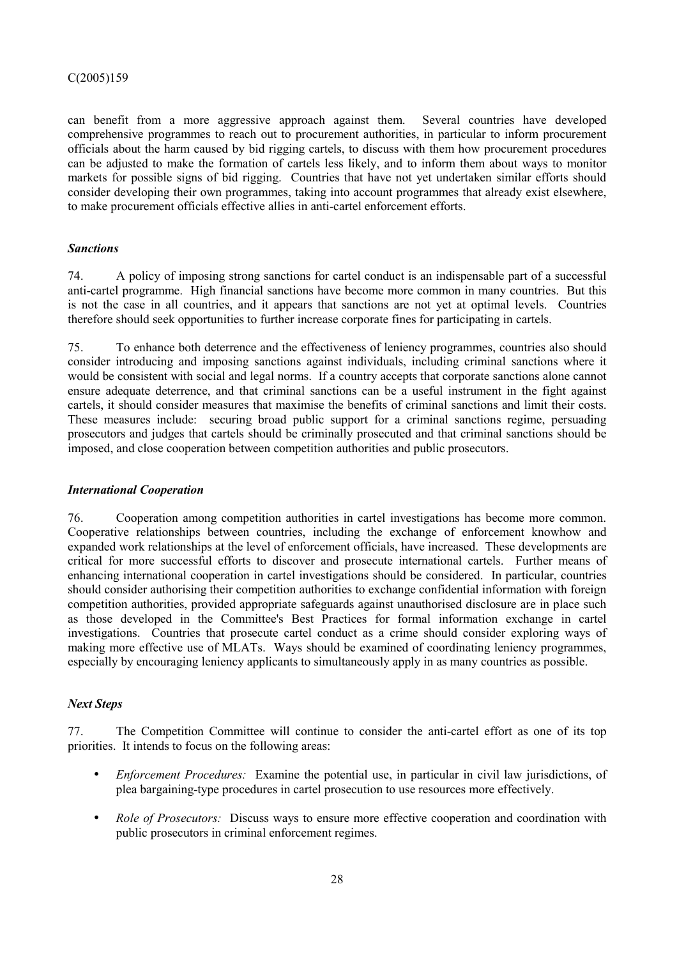can benefit from a more aggressive approach against them. Several countries have developed comprehensive programmes to reach out to procurement authorities, in particular to inform procurement officials about the harm caused by bid rigging cartels, to discuss with them how procurement procedures can be adjusted to make the formation of cartels less likely, and to inform them about ways to monitor markets for possible signs of bid rigging. Countries that have not yet undertaken similar efforts should consider developing their own programmes, taking into account programmes that already exist elsewhere, to make procurement officials effective allies in anti-cartel enforcement efforts.

# *Sanctions*

74. A policy of imposing strong sanctions for cartel conduct is an indispensable part of a successful anti-cartel programme. High financial sanctions have become more common in many countries. But this is not the case in all countries, and it appears that sanctions are not yet at optimal levels. Countries therefore should seek opportunities to further increase corporate fines for participating in cartels.

75. To enhance both deterrence and the effectiveness of leniency programmes, countries also should consider introducing and imposing sanctions against individuals, including criminal sanctions where it would be consistent with social and legal norms. If a country accepts that corporate sanctions alone cannot ensure adequate deterrence, and that criminal sanctions can be a useful instrument in the fight against cartels, it should consider measures that maximise the benefits of criminal sanctions and limit their costs. These measures include: securing broad public support for a criminal sanctions regime, persuading prosecutors and judges that cartels should be criminally prosecuted and that criminal sanctions should be imposed, and close cooperation between competition authorities and public prosecutors.

# *International Cooperation*

76. Cooperation among competition authorities in cartel investigations has become more common. Cooperative relationships between countries, including the exchange of enforcement knowhow and expanded work relationships at the level of enforcement officials, have increased. These developments are critical for more successful efforts to discover and prosecute international cartels. Further means of enhancing international cooperation in cartel investigations should be considered. In particular, countries should consider authorising their competition authorities to exchange confidential information with foreign competition authorities, provided appropriate safeguards against unauthorised disclosure are in place such as those developed in the Committee's Best Practices for formal information exchange in cartel investigations. Countries that prosecute cartel conduct as a crime should consider exploring ways of making more effective use of MLATs. Ways should be examined of coordinating leniency programmes, especially by encouraging leniency applicants to simultaneously apply in as many countries as possible.

# *Next Steps*

77. The Competition Committee will continue to consider the anti-cartel effort as one of its top priorities. It intends to focus on the following areas:

- *Enforcement Procedures:* Examine the potential use, in particular in civil law jurisdictions, of plea bargaining-type procedures in cartel prosecution to use resources more effectively.
- *Role of Prosecutors:* Discuss ways to ensure more effective cooperation and coordination with public prosecutors in criminal enforcement regimes.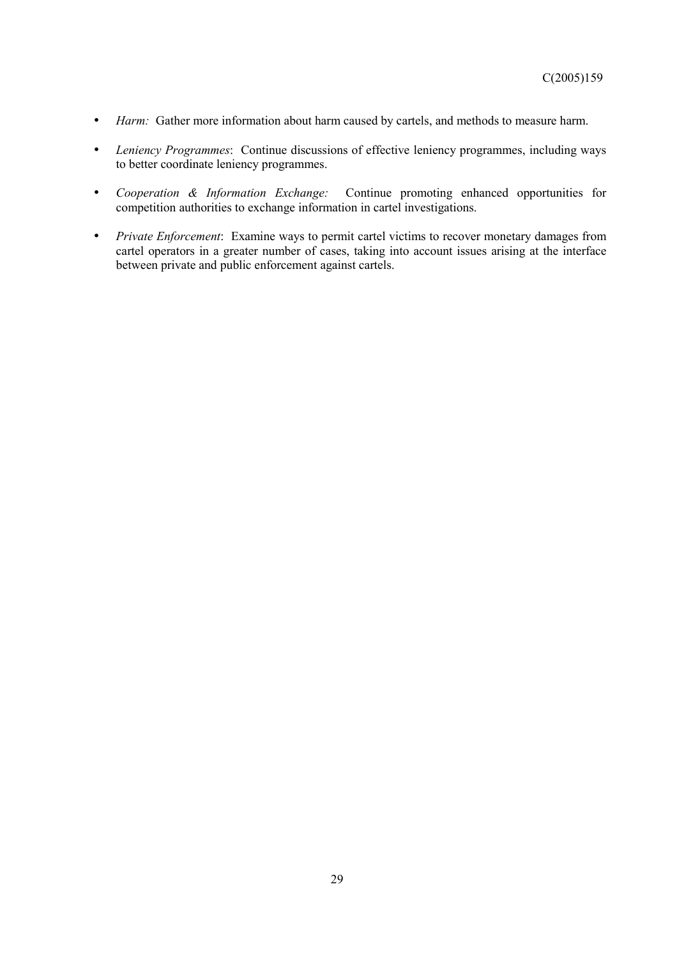- *Harm:* Gather more information about harm caused by cartels, and methods to measure harm.
- *Leniency Programmes*: Continue discussions of effective leniency programmes, including ways to better coordinate leniency programmes.
- *Cooperation & Information Exchange:* Continue promoting enhanced opportunities for competition authorities to exchange information in cartel investigations.
- *Private Enforcement*: Examine ways to permit cartel victims to recover monetary damages from cartel operators in a greater number of cases, taking into account issues arising at the interface between private and public enforcement against cartels.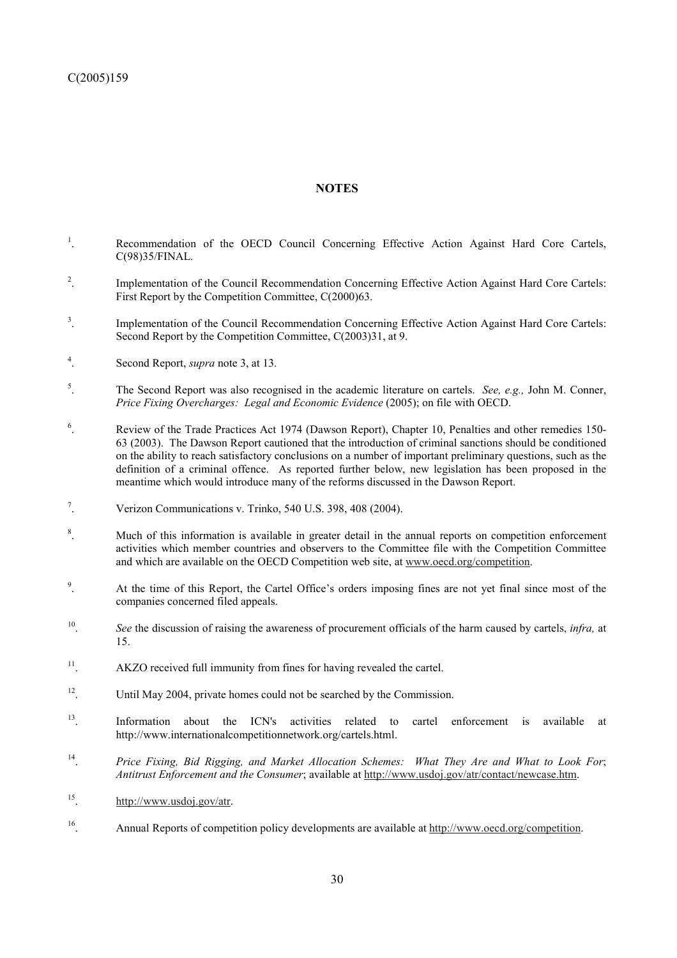## **NOTES**

- 1 . Recommendation of the OECD Council Concerning Effective Action Against Hard Core Cartels, C(98)35/FINAL.
- 2 . Implementation of the Council Recommendation Concerning Effective Action Against Hard Core Cartels: First Report by the Competition Committee, C(2000)63.
- 3 . Implementation of the Council Recommendation Concerning Effective Action Against Hard Core Cartels: Second Report by the Competition Committee,  $C(2003)31$ , at 9.
- 4 . Second Report, *supra* note 3, at 13.
- 5 . The Second Report was also recognised in the academic literature on cartels. *See, e.g.,* John M. Conner, *Price Fixing Overcharges: Legal and Economic Evidence* (2005); on file with OECD.
- 6 . Review of the Trade Practices Act 1974 (Dawson Report), Chapter 10, Penalties and other remedies 150- 63 (2003). The Dawson Report cautioned that the introduction of criminal sanctions should be conditioned on the ability to reach satisfactory conclusions on a number of important preliminary questions, such as the definition of a criminal offence. As reported further below, new legislation has been proposed in the meantime which would introduce many of the reforms discussed in the Dawson Report.
- 7 . Verizon Communications v. Trinko, 540 U.S. 398, 408 (2004).
- 8 . Much of this information is available in greater detail in the annual reports on competition enforcement activities which member countries and observers to the Committee file with the Competition Committee and which are available on the OECD Competition web site, at www.oecd.org/competition.
- 9 . At the time of this Report, the Cartel Office's orders imposing fines are not yet final since most of the companies concerned filed appeals.
- 10. *See* the discussion of raising the awareness of procurement officials of the harm caused by cartels, *infra,* at 15.
- <sup>11</sup>. AKZO received full immunity from fines for having revealed the cartel.
- <sup>12</sup>. Until May 2004, private homes could not be searched by the Commission.
- <sup>13</sup>. Information about the ICN's activities related to cartel enforcement is available at http://www.internationalcompetitionnetwork.org/cartels.html.
- 14. *Price Fixing, Bid Rigging, and Market Allocation Schemes: What They Are and What to Look For*; *Antitrust Enforcement and the Consumer*; available at http://www.usdoj.gov/atr/contact/newcase.htm.
- 15. http://www.usdoj.gov/atr.
- 16. Annual Reports of competition policy developments are available at http://www.oecd.org/competition.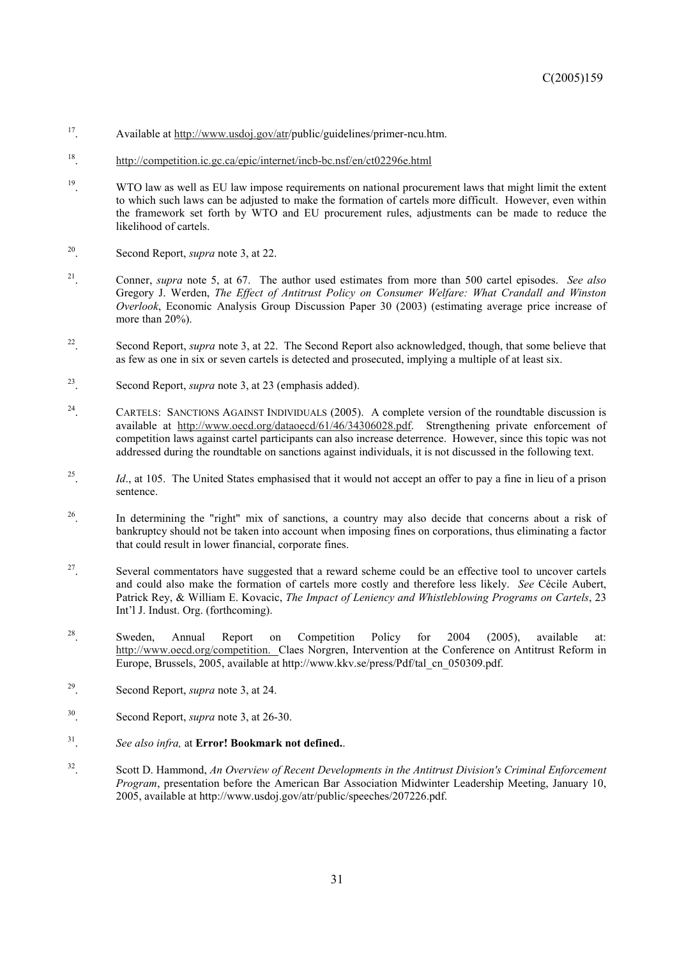- 17. Available at http://www.usdoj.gov/atr/public/guidelines/primer-ncu.htm.
- 18. http://competition.ic.gc.ca/epic/internet/incb-bc.nsf/en/ct02296e.html
- <sup>19</sup>. WTO law as well as EU law impose requirements on national procurement laws that might limit the extent to which such laws can be adjusted to make the formation of cartels more difficult. However, even within the framework set forth by WTO and EU procurement rules, adjustments can be made to reduce the likelihood of cartels.
- 20. Second Report, *supra* note 3, at 22.
- 21. Conner, *supra* note 5, at 67. The author used estimates from more than 500 cartel episodes. *See also* Gregory J. Werden, *The Effect of Antitrust Policy on Consumer Welfare: What Crandall and Winston Overlook*, Economic Analysis Group Discussion Paper 30 (2003) (estimating average price increase of more than 20%).
- <sup>22</sup>. Second Report, *supra* note 3, at 22. The Second Report also acknowledged, though, that some believe that as few as one in six or seven cartels is detected and prosecuted, implying a multiple of at least six.
- 23. Second Report, *supra* note 3, at 23 (emphasis added).
- <sup>24</sup>. CARTELS: SANCTIONS AGAINST INDIVIDUALS (2005). A complete version of the roundtable discussion is available at http://www.oecd.org/dataoecd/61/46/34306028.pdf. Strengthening private enforcement of competition laws against cartel participants can also increase deterrence. However, since this topic was not addressed during the roundtable on sanctions against individuals, it is not discussed in the following text.
- <sup>25</sup>. *Id.*, at 105. The United States emphasised that it would not accept an offer to pay a fine in lieu of a prison sentence.
- <sup>26</sup>. In determining the "right" mix of sanctions, a country may also decide that concerns about a risk of bankruptcy should not be taken into account when imposing fines on corporations, thus eliminating a factor that could result in lower financial, corporate fines.
- <sup>27</sup>. Several commentators have suggested that a reward scheme could be an effective tool to uncover cartels and could also make the formation of cartels more costly and therefore less likely. *See* Cécile Aubert, Patrick Rey, & William E. Kovacic, *The Impact of Leniency and Whistleblowing Programs on Cartels*, 23 Int'l J. Indust. Org. (forthcoming).
- <sup>28</sup>. Sweden, Annual Report on Competition Policy for 2004 (2005), available at: http://www.oecd.org/competition. Claes Norgren, Intervention at the Conference on Antitrust Reform in Europe, Brussels, 2005, available at http://www.kkv.se/press/Pdf/tal\_cn\_050309.pdf.
- 29. Second Report, *supra* note 3, at 24.
- 30. Second Report, *supra* note 3, at 26-30.
- 31. *See also infra,* at **Error! Bookmark not defined.**.
- 32. Scott D. Hammond, *An Overview of Recent Developments in the Antitrust Division's Criminal Enforcement Program*, presentation before the American Bar Association Midwinter Leadership Meeting, January 10, 2005, available at http://www.usdoj.gov/atr/public/speeches/207226.pdf.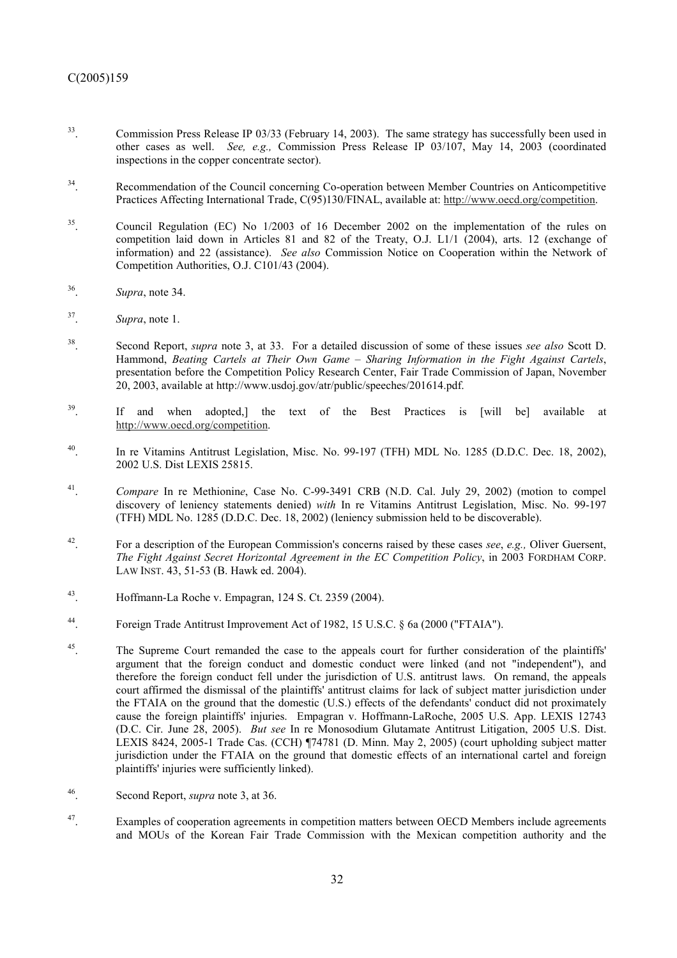- <sup>33</sup>. Commission Press Release IP 03/33 (February 14, 2003). The same strategy has successfully been used in other cases as well. *See, e.g.,* Commission Press Release IP 03/107, May 14, 2003 (coordinated inspections in the copper concentrate sector).
- <sup>34</sup>. Recommendation of the Council concerning Co-operation between Member Countries on Anticompetitive Practices Affecting International Trade, C(95)130/FINAL, available at: http://www.oecd.org/competition.
- <sup>35</sup>. Council Regulation (EC) No 1/2003 of 16 December 2002 on the implementation of the rules on competition laid down in Articles 81 and 82 of the Treaty, O.J. L1/1 (2004), arts. 12 (exchange of information) and 22 (assistance). *See also* Commission Notice on Cooperation within the Network of Competition Authorities, O.J. C101/43 (2004).
- 36. *Supra*, note 34.
- 37. *Supra*, note 1.
- 38. Second Report, *supra* note 3, at 33. For a detailed discussion of some of these issues *see also* Scott D. Hammond, *Beating Cartels at Their Own Game – Sharing Information in the Fight Against Cartels*, presentation before the Competition Policy Research Center, Fair Trade Commission of Japan, November 20, 2003, available at http://www.usdoj.gov/atr/public/speeches/201614.pdf.
- <sup>39</sup>. If and when adopted,] the text of the Best Practices is [will be] available at http://www.oecd.org/competition.
- <sup>40</sup>. In re Vitamins Antitrust Legislation, Misc. No. 99-197 (TFH) MDL No. 1285 (D.D.C. Dec. 18, 2002), 2002 U.S. Dist LEXIS 25815.
- <sup>41</sup>. *Compare* In re Methionine, Case No. C-99-3491 CRB (N.D. Cal. July 29, 2002) (motion to compel discovery of leniency statements denied) *with* In re Vitamins Antitrust Legislation, Misc. No. 99-197 (TFH) MDL No. 1285 (D.D.C. Dec. 18, 2002) (leniency submission held to be discoverable).
- 42. For a description of the European Commission's concerns raised by these cases *see*, *e.g.,* Oliver Guersent, *The Fight Against Secret Horizontal Agreement in the EC Competition Policy*, in 2003 FORDHAM CORP. LAW INST. 43, 51-53 (B. Hawk ed. 2004).
- 43. Hoffmann-La Roche v. Empagran, 124 S. Ct. 2359 (2004).
- 44. Foreign Trade Antitrust Improvement Act of 1982, 15 U.S.C. § 6a (2000 ("FTAIA").
- <sup>45</sup>. The Supreme Court remanded the case to the appeals court for further consideration of the plaintiffs' argument that the foreign conduct and domestic conduct were linked (and not "independent"), and therefore the foreign conduct fell under the jurisdiction of U.S. antitrust laws. On remand, the appeals court affirmed the dismissal of the plaintiffs' antitrust claims for lack of subject matter jurisdiction under the FTAIA on the ground that the domestic (U.S.) effects of the defendants' conduct did not proximately cause the foreign plaintiffs' injuries. Empagran v. Hoffmann-LaRoche, 2005 U.S. App. LEXIS 12743 (D.C. Cir. June 28, 2005). *But see* In re Monosodium Glutamate Antitrust Litigation, 2005 U.S. Dist. LEXIS 8424, 2005-1 Trade Cas. (CCH) ¶74781 (D. Minn. May 2, 2005) (court upholding subject matter jurisdiction under the FTAIA on the ground that domestic effects of an international cartel and foreign plaintiffs' injuries were sufficiently linked).
- 46. Second Report, *supra* note 3, at 36.
- <sup>47</sup>. Examples of cooperation agreements in competition matters between OECD Members include agreements and MOUs of the Korean Fair Trade Commission with the Mexican competition authority and the